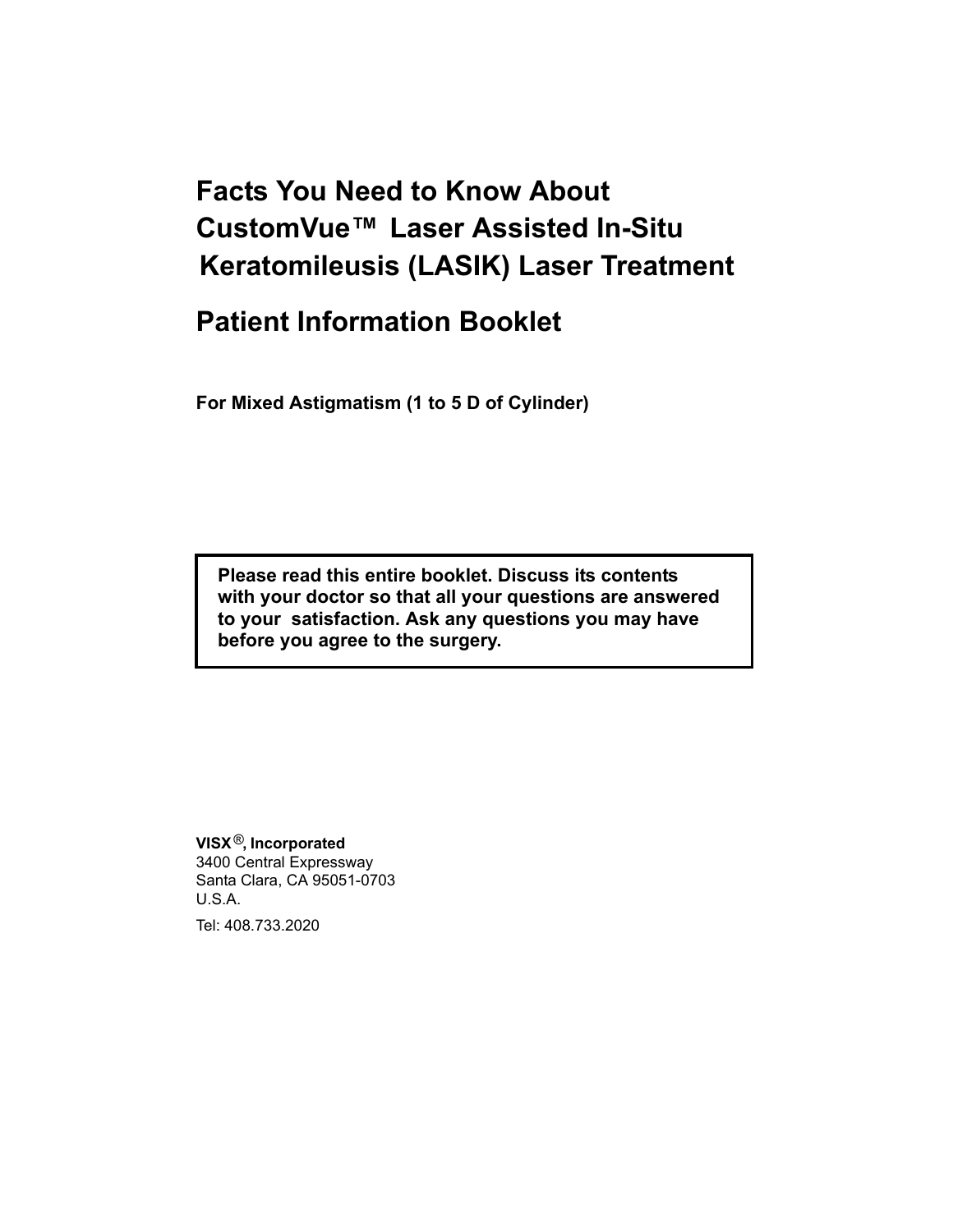# **Facts You Need to Know About CustomVue™ Laser Assisted In-Situ Keratomileusis (LASIK) Laser Treatment**

# **Patient Information Booklet**

**For Mixed Astigmatism (1 to 5 D of Cylinder)**

**Please read this entire booklet. Discuss its contents with your doctor so that all your questions are answered to your satisfaction. Ask any questions you may have before you agree to the surgery.**

**VISX** ®**, Incorporated** 3400 Central Expressway Santa Clara, CA 95051-0703 U.S.A.

Tel: 408.733.2020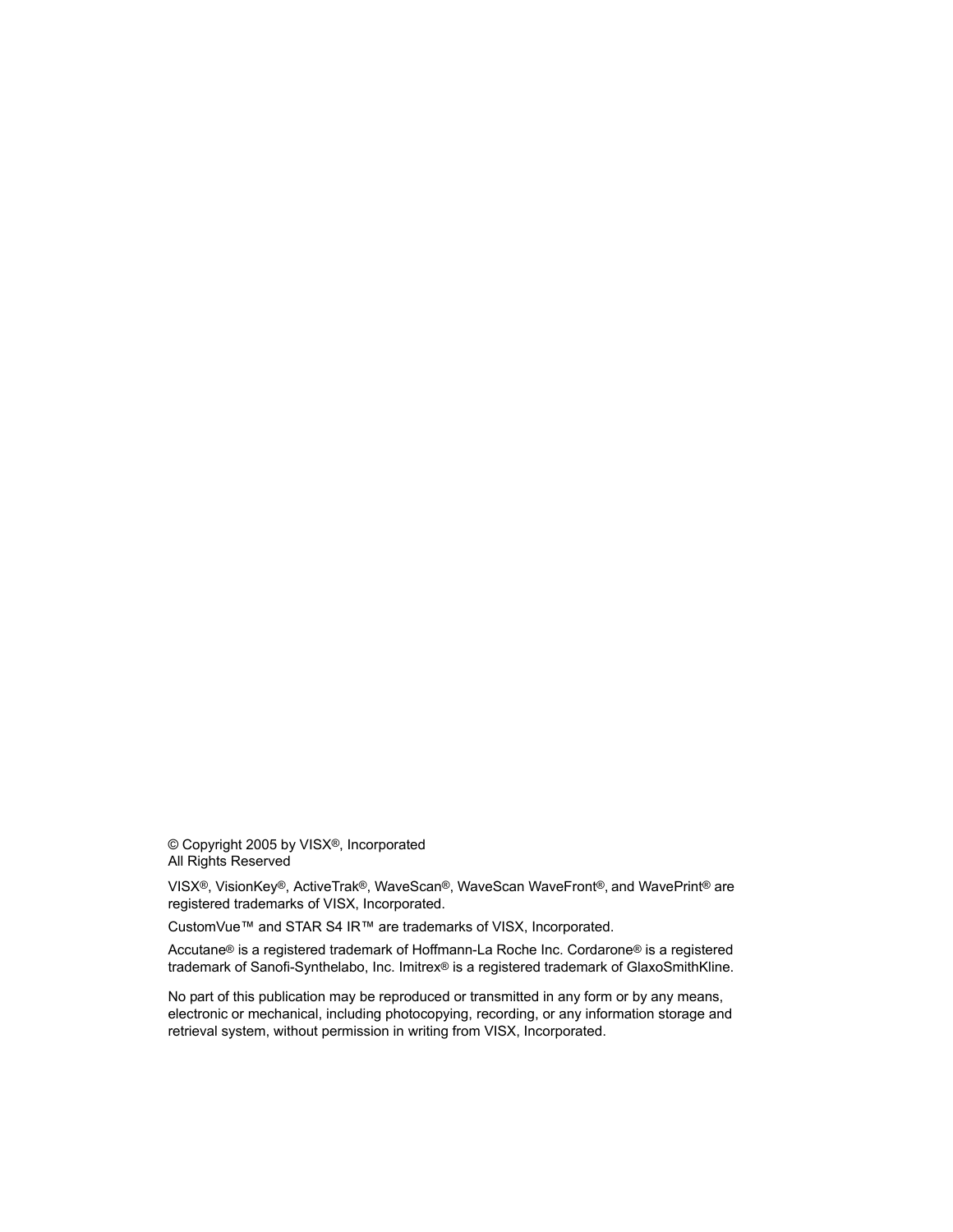© Copyright 2005 by VISX®, Incorporated All Rights Reserved

VISX®, VisionKey®, ActiveTrak®, WaveScan®, WaveScan WaveFront®, and WavePrint® are registered trademarks of VISX, Incorporated.

CustomVue™ and STAR S4 IR™ are trademarks of VISX, Incorporated.

Accutane® is a registered trademark of Hoffmann-La Roche Inc. Cordarone® is a registered trademark of Sanofi-Synthelabo, Inc. Imitrex® is a registered trademark of GlaxoSmithKline.

No part of this publication may be reproduced or transmitted in any form or by any means, electronic or mechanical, including photocopying, recording, or any information storage and retrieval system, without permission in writing from VISX, Incorporated.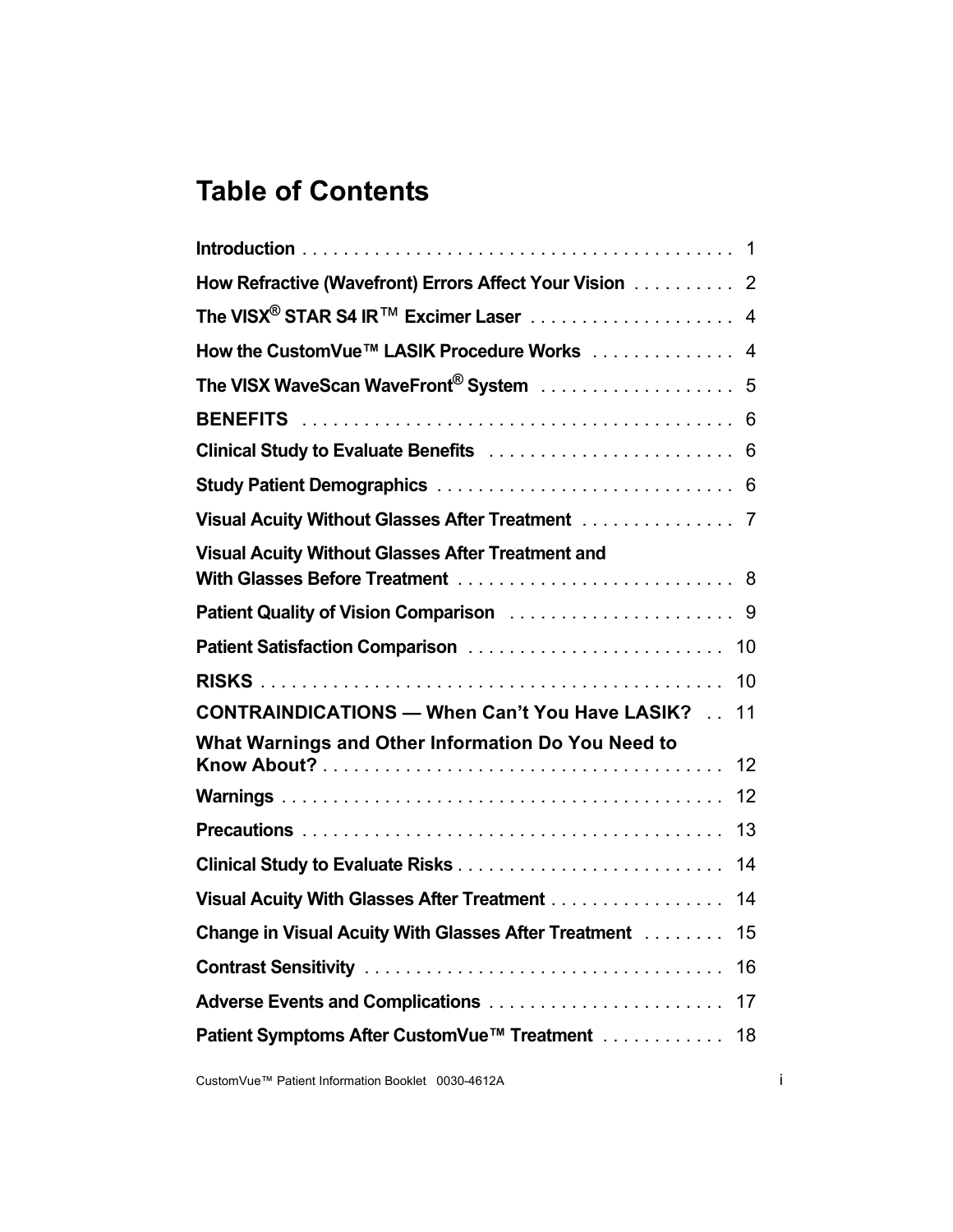# **Table of Contents**

| How Refractive (Wavefront) Errors Affect Your Vision  2                                                  |    |
|----------------------------------------------------------------------------------------------------------|----|
| The VISX <sup>®</sup> STAR S4 IR <sup>TM</sup> Excimer Laser $\ldots \ldots \ldots \ldots \ldots \ldots$ |    |
| How the CustomVue™ LASIK Procedure Works 4                                                               |    |
| The VISX WaveScan WaveFront <sup>®</sup> System  5                                                       |    |
|                                                                                                          |    |
|                                                                                                          |    |
|                                                                                                          |    |
| Visual Acuity Without Glasses After Treatment 7                                                          |    |
| <b>Visual Acuity Without Glasses After Treatment and</b>                                                 |    |
|                                                                                                          |    |
| Patient Satisfaction Comparison                                                                          | 10 |
|                                                                                                          | 10 |
| <b>CONTRAINDICATIONS - When Can't You Have LASIK?</b>                                                    | 11 |
| What Warnings and Other Information Do You Need to                                                       | 12 |
|                                                                                                          | 12 |
|                                                                                                          | 13 |
|                                                                                                          | 14 |
| Visual Acuity With Glasses After Treatment                                                               | 14 |
| Change in Visual Acuity With Glasses After Treatment                                                     | 15 |
|                                                                                                          | 16 |
|                                                                                                          | 17 |
| Patient Symptoms After CustomVue™ Treatment                                                              | 18 |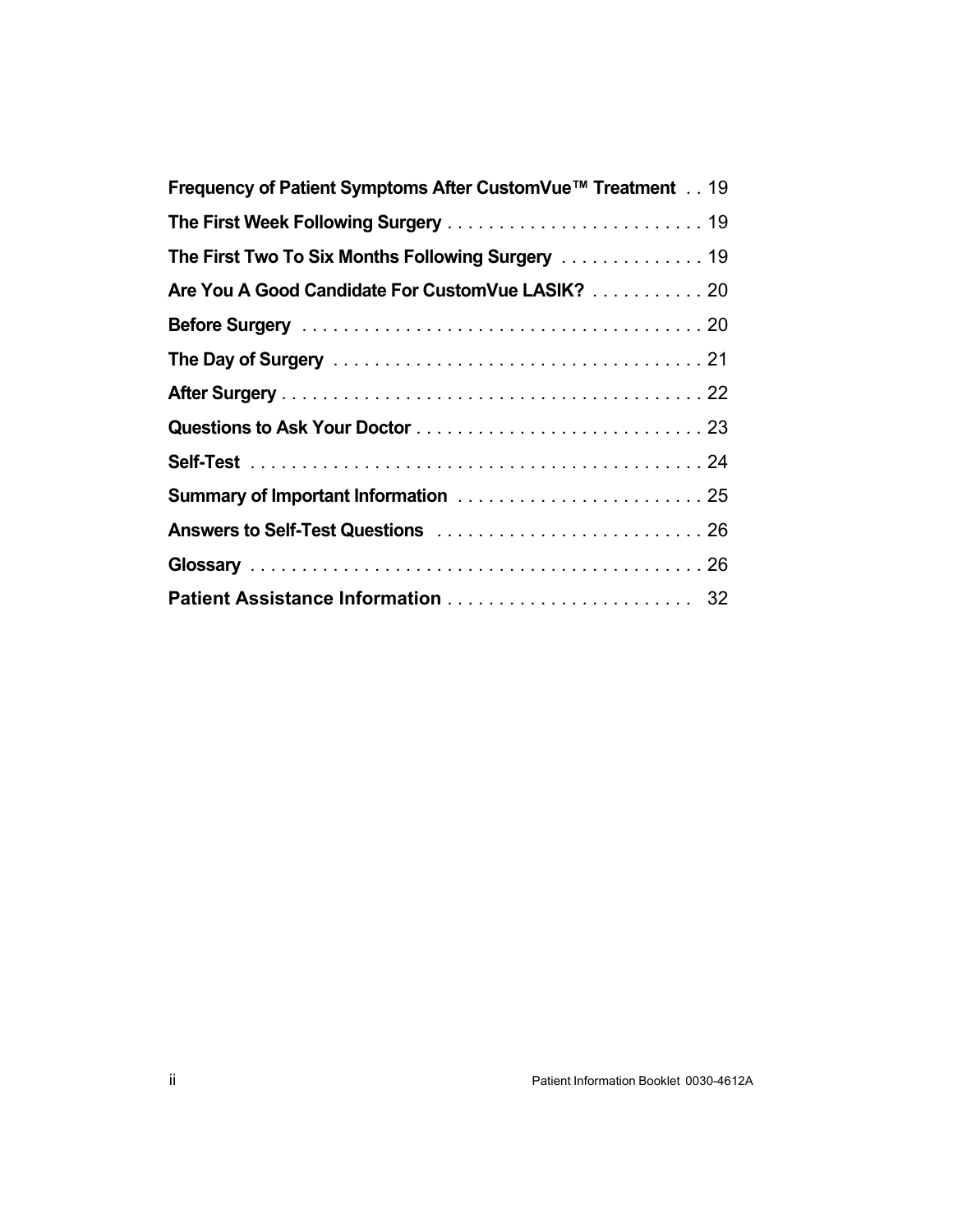| Frequency of Patient Symptoms After CustomVue™ Treatment 19 |
|-------------------------------------------------------------|
|                                                             |
| The First Two To Six Months Following Surgery 19            |
| Are You A Good Candidate For CustomVue LASIK? 20            |
|                                                             |
|                                                             |
|                                                             |
|                                                             |
|                                                             |
|                                                             |
|                                                             |
|                                                             |
|                                                             |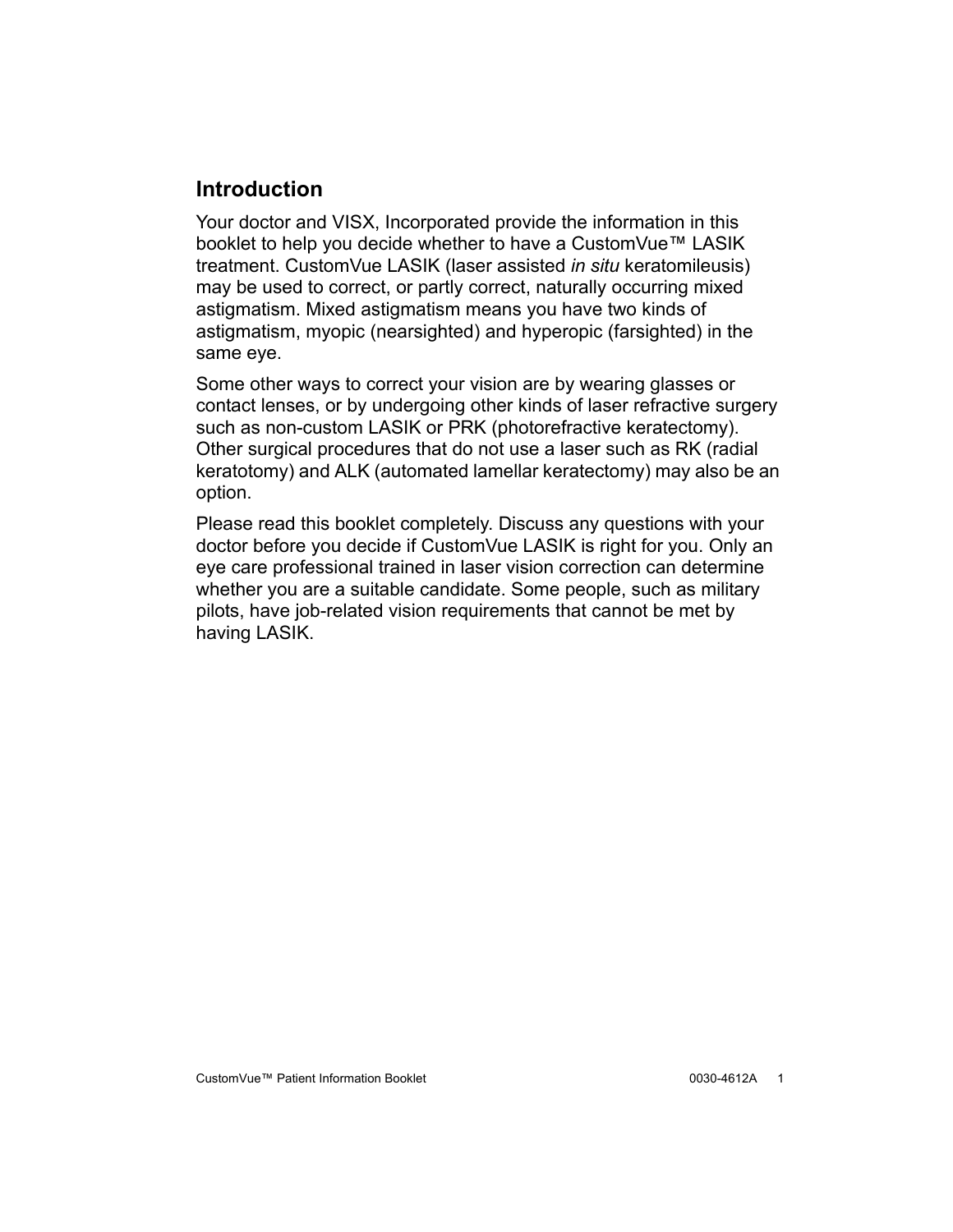### <span id="page-4-0"></span>**Introduction**

Your doctor and VISX, Incorporated provide the information in this booklet to help you decide whether to have a CustomVue™ LASIK treatment. CustomVue LASIK (laser assisted *in situ* keratomileusis) may be used to correct, or partly correct, naturally occurring mixed astigmatism. Mixed astigmatism means you have two kinds of astigmatism, myopic (nearsighted) and hyperopic (farsighted) in the same eye.

Some other ways to correct your vision are by wearing glasses or contact lenses, or by undergoing other kinds of laser refractive surgery such as non-custom LASIK or PRK (photorefractive keratectomy). Other surgical procedures that do not use a laser such as RK (radial keratotomy) and ALK (automated lamellar keratectomy) may also be an option.

Please read this booklet completely. Discuss any questions with your doctor before you decide if CustomVue LASIK is right for you. Only an eye care professional trained in laser vision correction can determine whether you are a suitable candidate. Some people, such as military pilots, have job-related vision requirements that cannot be met by having LASIK.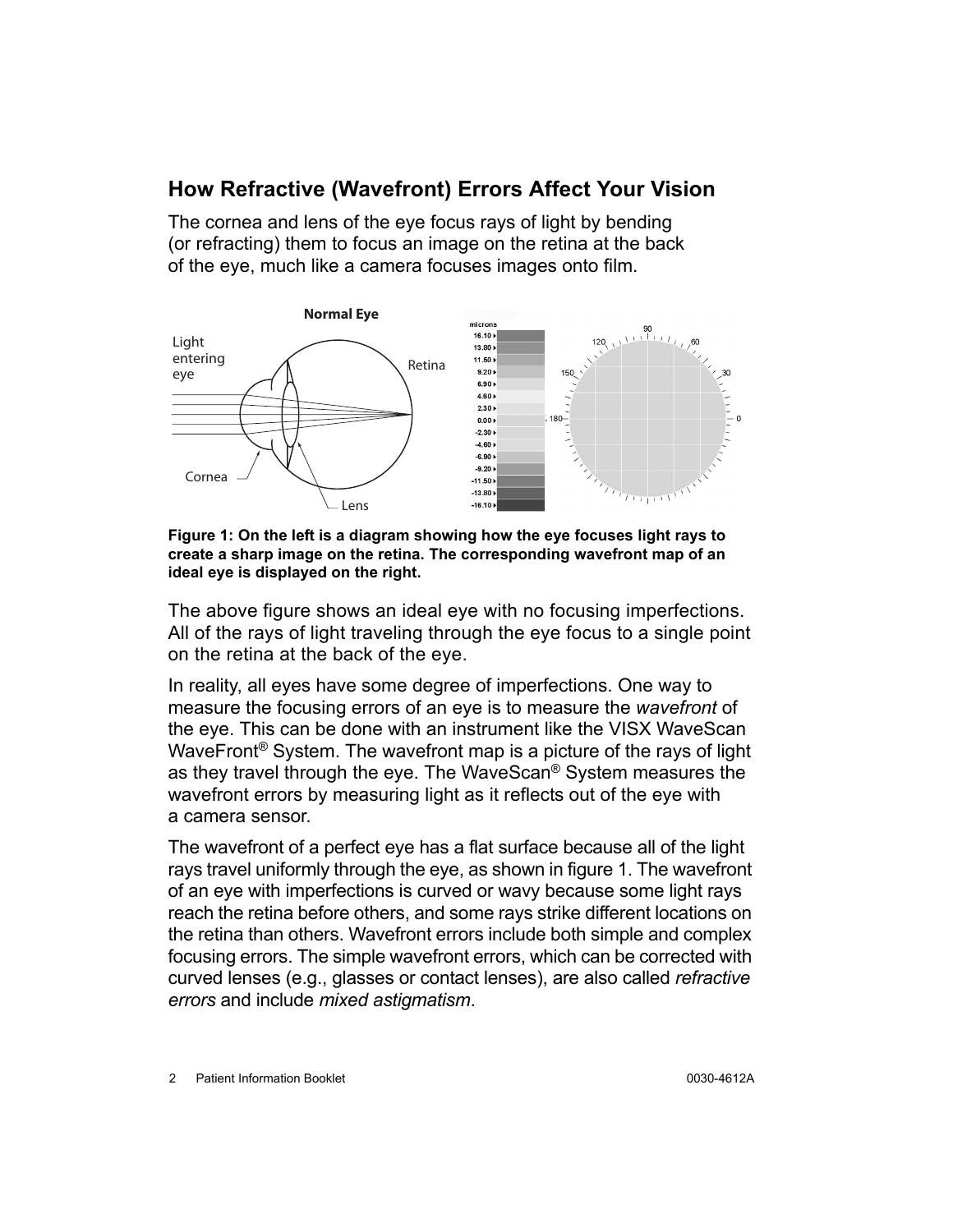### <span id="page-5-0"></span>**How Refractive (Wavefront) Errors Affect Your Vision**

The cornea and lens of the eye focus rays of light by bending (or refracting) them to focus an image on the retina at the back of the eye, much like a camera focuses images onto film.



<span id="page-5-1"></span>**Figure 1: On the left is a diagram showing how the eye focuses light rays to create a sharp image on the retina. The corresponding wavefront map of an ideal eye is displayed on the right.**

The above figure shows an ideal eye with no focusing imperfections. All of the rays of light traveling through the eye focus to a single point on the retina at the back of the eye.

In reality, all eyes have some degree of imperfections. One way to measure the focusing errors of an eye is to measure the *wavefront* of the eye. This can be done with an instrument like the VISX WaveScan WaveFront® System. The wavefront map is a picture of the rays of light as they travel through the eye. The WaveScan® System measures the wavefront errors by measuring light as it reflects out of the eye with a camera sensor.

The wavefront of a perfect eye has a flat surface because all of the light rays travel uniformly through the eye, as shown in figure [1](#page-5-1). The wavefront of an eye with imperfections is curved or wavy because some light rays reach the retina before others, and some rays strike different locations on the retina than others. Wavefront errors include both simple and complex focusing errors. The simple wavefront errors, which can be corrected with curved lenses (e.g., glasses or contact lenses), are also called *refractive errors* and include *mixed astigmatism*.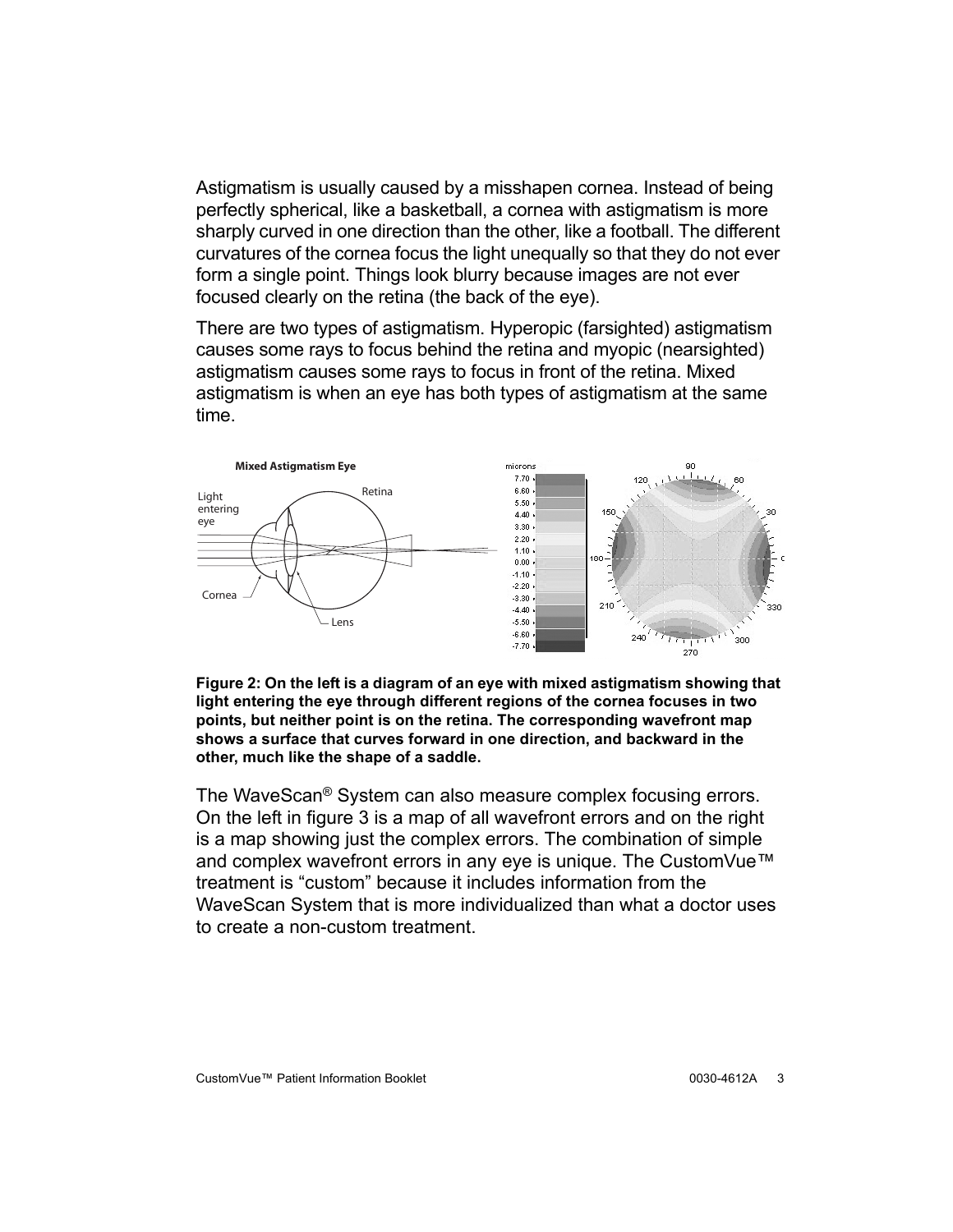Astigmatism is usually caused by a misshapen cornea. Instead of being perfectly spherical, like a basketball, a cornea with astigmatism is more sharply curved in one direction than the other, like a football. The different curvatures of the cornea focus the light unequally so that they do not ever form a single point. Things look blurry because images are not ever focused clearly on the retina (the back of the eye).

There are two types of astigmatism. Hyperopic (farsighted) astigmatism causes some rays to focus behind the retina and myopic (nearsighted) astigmatism causes some rays to focus in front of the retina. Mixed astigmatism is when an eye has both types of astigmatism at the same time.



**Figure 2: On the left is a diagram of an eye with mixed astigmatism showing that light entering the eye through different regions of the cornea focuses in two points, but neither point is on the retina. The corresponding wavefront map shows a surface that curves forward in one direction, and backward in the other, much like the shape of a saddle.**

The WaveScan® System can also measure complex focusing errors. On the left in figure [3](#page-7-2) is a map of all wavefront errors and on the right is a map showing just the complex errors. The combination of simple and complex wavefront errors in any eye is unique. The CustomVue™ treatment is "custom" because it includes information from the WaveScan System that is more individualized than what a doctor uses to create a non-custom treatment.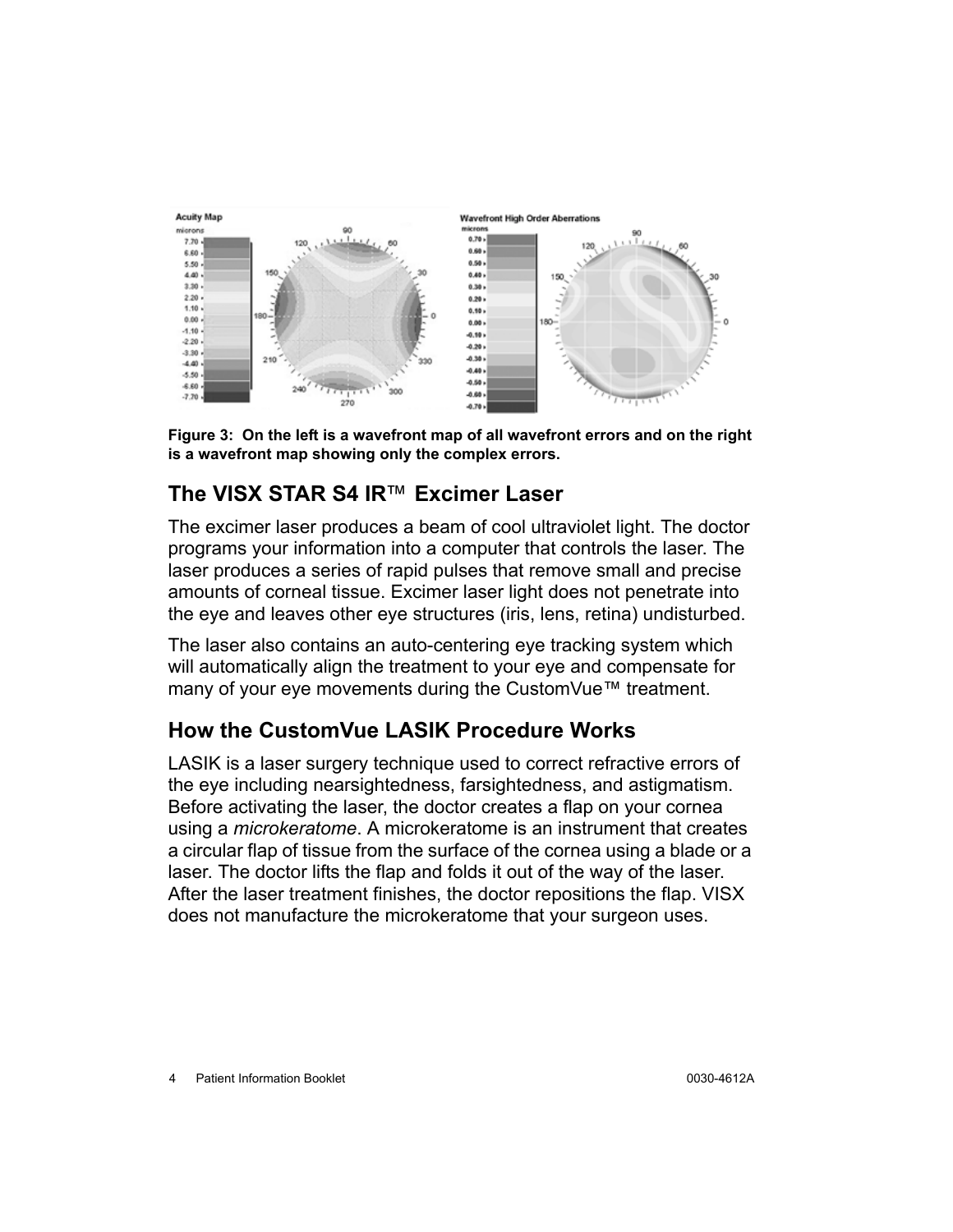

<span id="page-7-2"></span>**Figure 3: On the left is a wavefront map of all wavefront errors and on the right is a wavefront map showing only the complex errors.**

# <span id="page-7-0"></span>**The VISX STAR S4 IR**™ **Excimer Laser**

The excimer laser produces a beam of cool ultraviolet light. The doctor programs your information into a computer that controls the laser. The laser produces a series of rapid pulses that remove small and precise amounts of corneal tissue. Excimer laser light does not penetrate into the eye and leaves other eye structures (iris, lens, retina) undisturbed.

The laser also contains an auto-centering eye tracking system which will automatically align the treatment to your eye and compensate for many of your eye movements during the CustomVue™ treatment.

## <span id="page-7-1"></span>**How the CustomVue LASIK Procedure Works**

LASIK is a laser surgery technique used to correct refractive errors of the eye including nearsightedness, farsightedness, and astigmatism. Before activating the laser, the doctor creates a flap on your cornea using a *microkeratome*. A microkeratome is an instrument that creates a circular flap of tissue from the surface of the cornea using a blade or a laser. The doctor lifts the flap and folds it out of the way of the laser. After the laser treatment finishes, the doctor repositions the flap. VISX does not manufacture the microkeratome that your surgeon uses.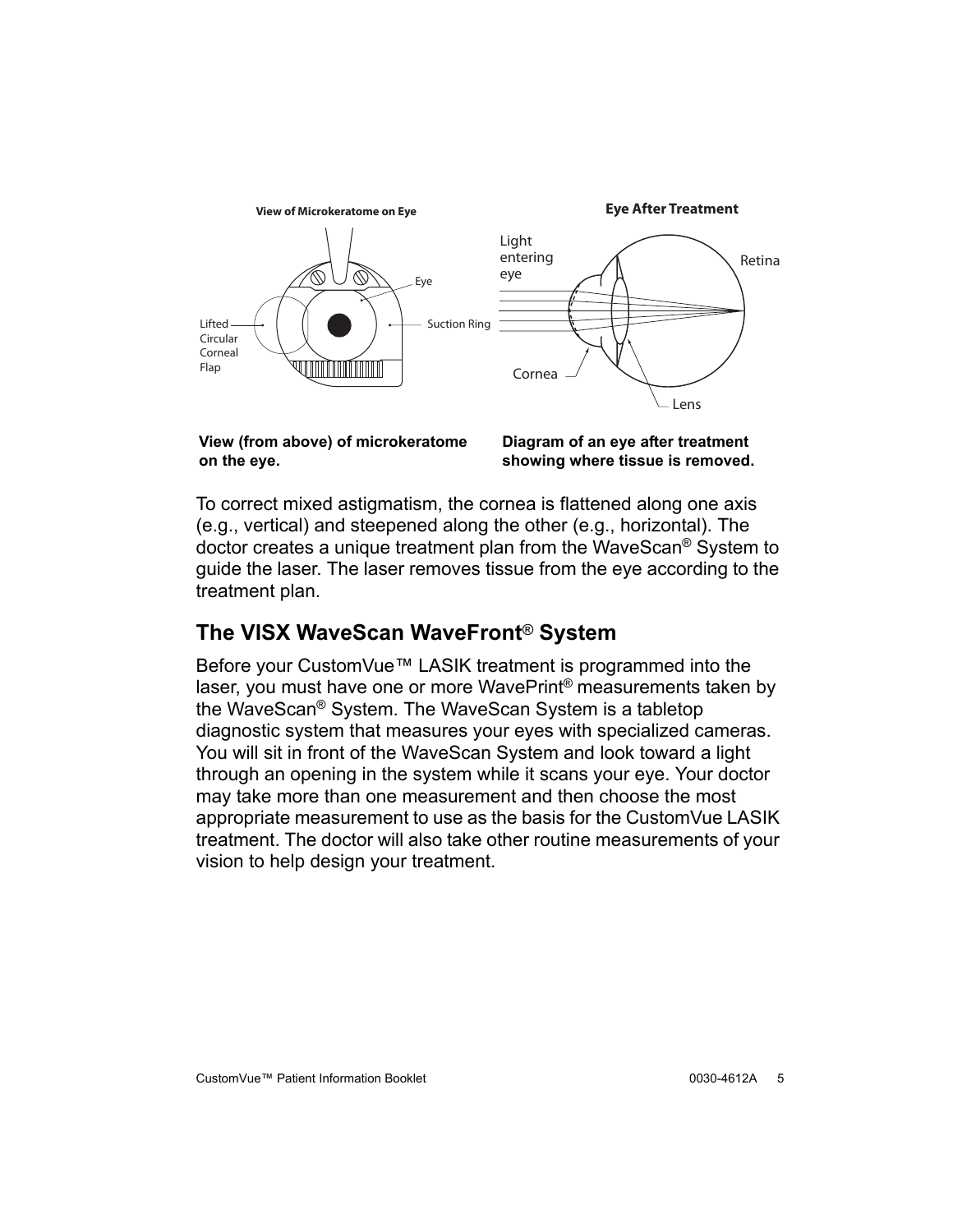

**View (from above) of microkeratome on the eye.**

**Diagram of an eye after treatment showing where tissue is removed.**

To correct mixed astigmatism, the cornea is flattened along one axis (e.g., vertical) and steepened along the other (e.g., horizontal). The doctor creates a unique treatment plan from the WaveScan® System to guide the laser. The laser removes tissue from the eye according to the treatment plan.

## <span id="page-8-0"></span>**The VISX WaveScan WaveFront**® **System**

Before your CustomVue™ LASIK treatment is programmed into the laser, you must have one or more WavePrint® measurements taken by the WaveScan® System. The WaveScan System is a tabletop diagnostic system that measures your eyes with specialized cameras. You will sit in front of the WaveScan System and look toward a light through an opening in the system while it scans your eye. Your doctor may take more than one measurement and then choose the most appropriate measurement to use as the basis for the CustomVue LASIK treatment. The doctor will also take other routine measurements of your vision to help design your treatment.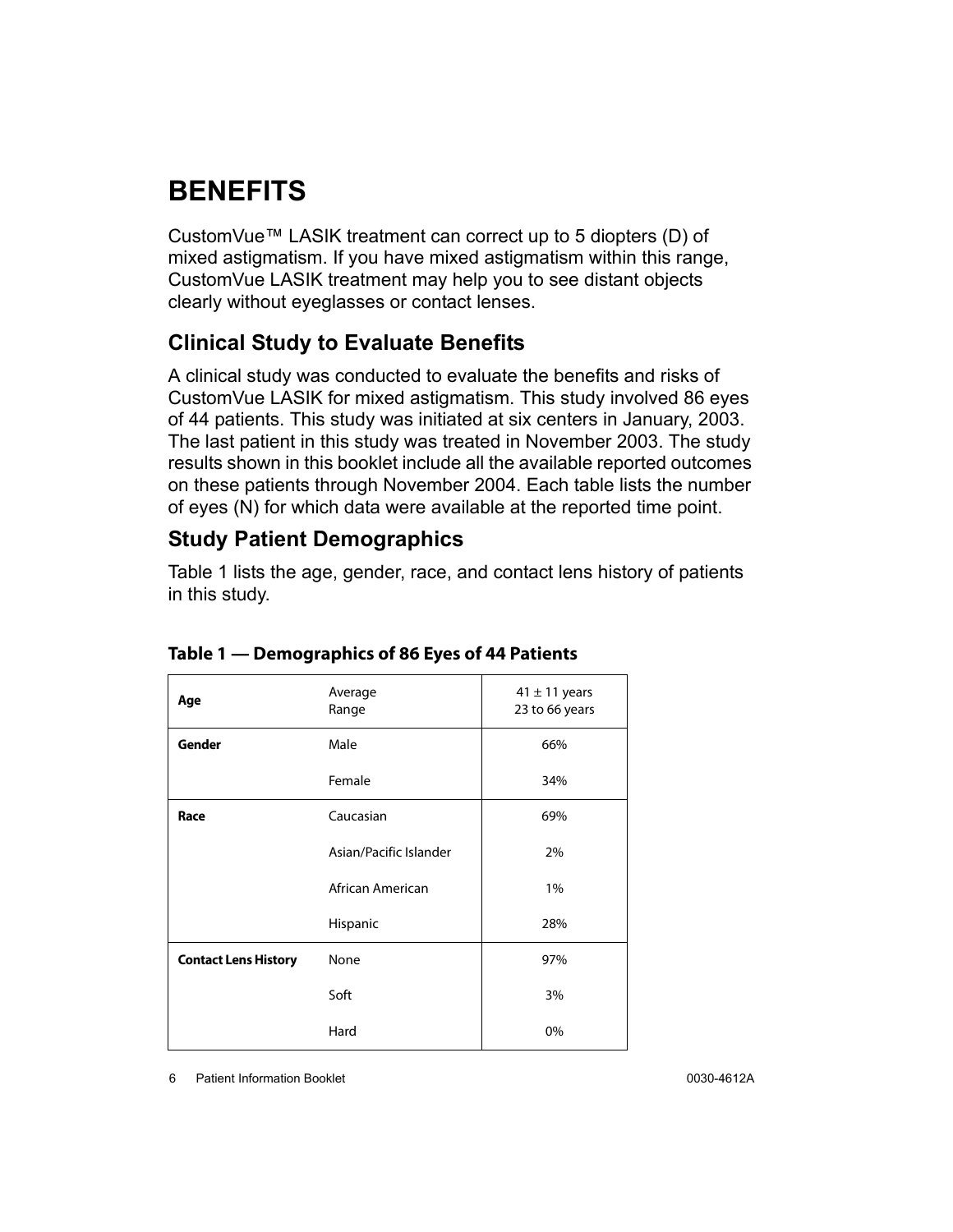# <span id="page-9-0"></span>**BENEFITS**

CustomVue™ LASIK treatment can correct up to 5 diopters (D) of mixed astigmatism. If you have mixed astigmatism within this range, CustomVue LASIK treatment may help you to see distant objects clearly without eyeglasses or contact lenses.

### <span id="page-9-1"></span>**Clinical Study to Evaluate Benefits**

A clinical study was conducted to evaluate the benefits and risks of CustomVue LASIK for mixed astigmatism. This study involved 86 eyes of 44 patients. This study was initiated at six centers in January, 2003. The last patient in this study was treated in November 2003. The study results shown in this booklet include all the available reported outcomes on these patients through November 2004. Each table lists the number of eyes (N) for which data were available at the reported time point.

### <span id="page-9-2"></span>**Study Patient Demographics**

Table [1](#page-9-3) lists the age, gender, race, and contact lens history of patients in this study.

| Age                         | Average<br>Range       | $41 \pm 11$ years<br>23 to 66 years |
|-----------------------------|------------------------|-------------------------------------|
| <b>Gender</b>               | Male                   | 66%                                 |
|                             | Female                 | 34%                                 |
| Race                        | Caucasian              | 69%                                 |
|                             | Asian/Pacific Islander | 2%                                  |
|                             | African American       | 1%                                  |
|                             | Hispanic               | 28%                                 |
| <b>Contact Lens History</b> | None                   | 97%                                 |
|                             | Soft                   | 3%                                  |
|                             | Hard                   | 0%                                  |

#### <span id="page-9-3"></span>**Table 1 — Demographics of 86 Eyes of 44 Patients**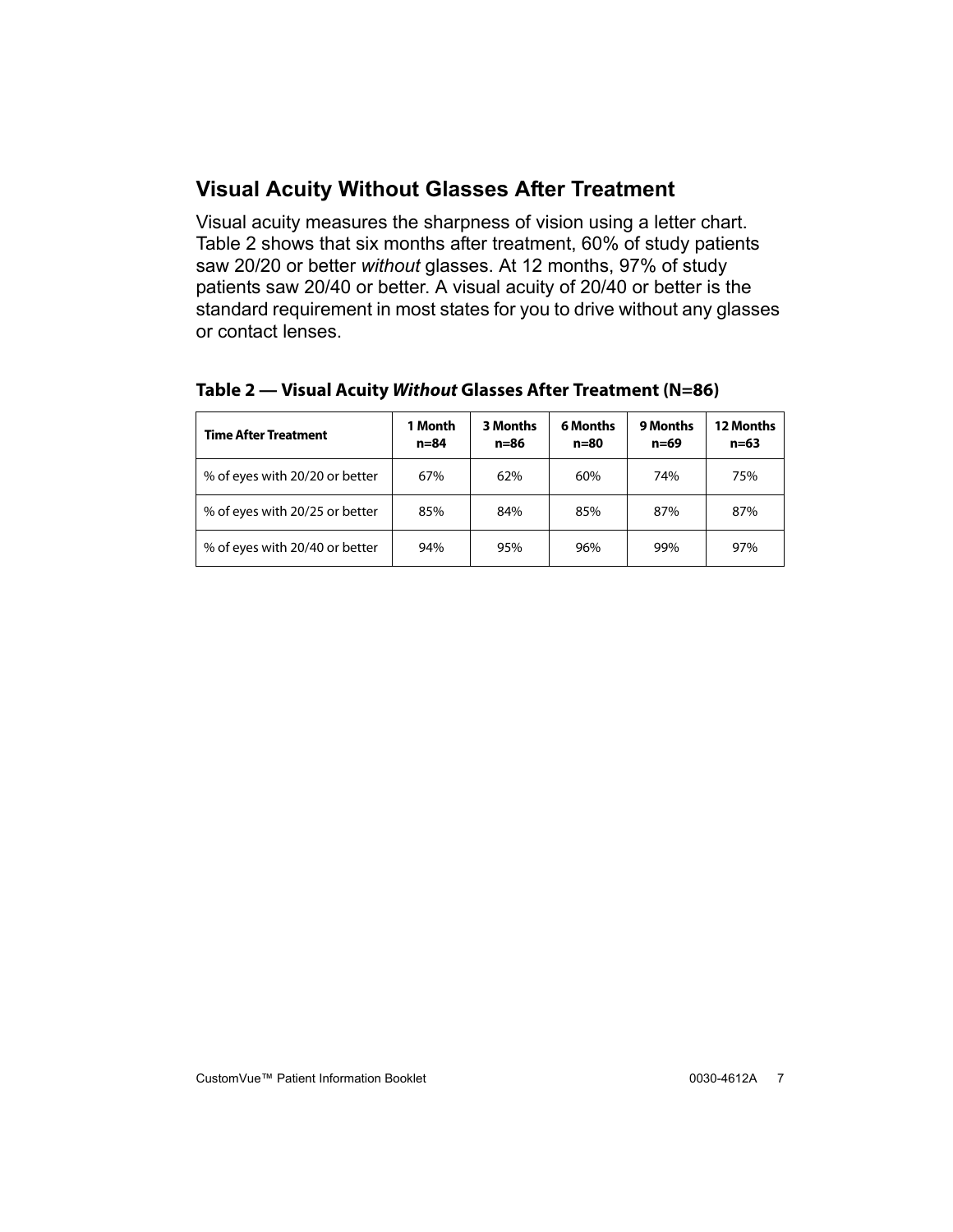### <span id="page-10-0"></span>**Visual Acuity Without Glasses After Treatment**

Visual acuity measures the sharpness of vision using a letter chart. Table [2](#page-10-1) shows that six months after treatment, 60% of study patients saw 20/20 or better *without* glasses. At 12 months, 97% of study patients saw 20/40 or better. A visual acuity of 20/40 or better is the standard requirement in most states for you to drive without any glasses or contact lenses.

| <b>Time After Treatment</b>    | 1 Month<br>$n = 84$ | 3 Months<br>n=86 | 6 Months<br>n=80 | <b>9 Months</b><br>n=69 | 12 Months<br>$n = 63$ |
|--------------------------------|---------------------|------------------|------------------|-------------------------|-----------------------|
| % of eyes with 20/20 or better | 67%                 | 62%              | 60%              | 74%                     | 75%                   |
| % of eyes with 20/25 or better | 85%                 | 84%              | 85%              | 87%                     | 87%                   |
| % of eyes with 20/40 or better | 94%                 | 95%              | 96%              | 99%                     | 97%                   |

#### <span id="page-10-1"></span>**Table 2 — Visual Acuity Without Glasses After Treatment (N=86)**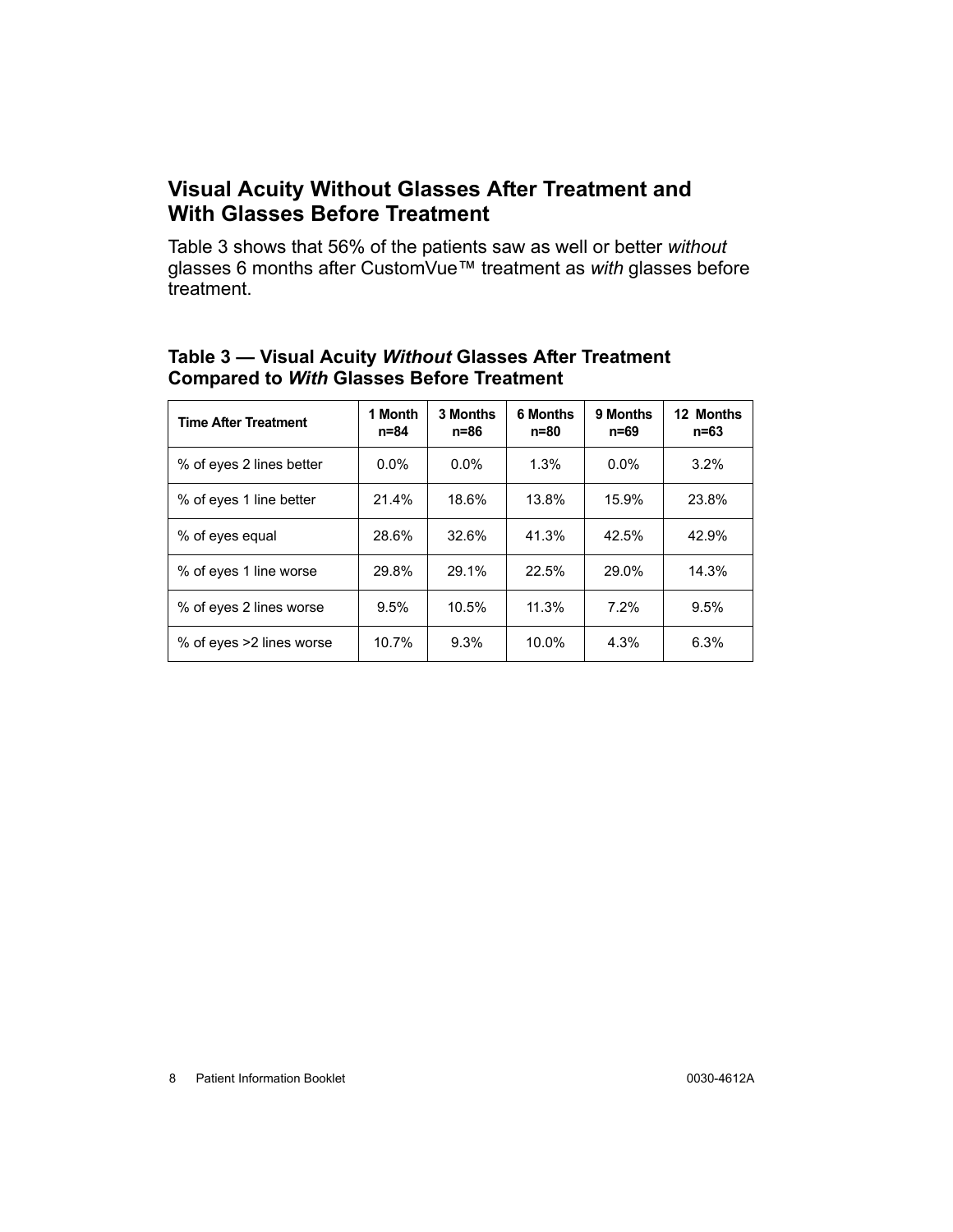#### <span id="page-11-0"></span>**Visual Acuity Without Glasses After Treatment and With Glasses Before Treatment**

Table [3](#page-11-1) shows that 56% of the patients saw as well or better *without* glasses 6 months after CustomVue™ treatment as *with* glasses before treatment.

<span id="page-11-1"></span>

| Table 3 - Visual Acuity Without Glasses After Treatment |  |
|---------------------------------------------------------|--|
| <b>Compared to With Glasses Before Treatment</b>        |  |

| <b>Time After Treatment</b> | 1 Month<br>n=84 | 3 Months<br>n=86 | <b>6 Months</b><br>n=80 | 9 Months<br>n=69 | 12 Months<br>n=63 |
|-----------------------------|-----------------|------------------|-------------------------|------------------|-------------------|
| % of eyes 2 lines better    | $0.0\%$         | $0.0\%$          | 1.3%                    | $0.0\%$          | 3.2%              |
| % of eyes 1 line better     | 21.4%           | 18.6%            | 13.8%                   | 15.9%            | 23.8%             |
| % of eyes equal             | 28.6%           | 32.6%            | 41.3%                   | 42.5%            | 42.9%             |
| % of eyes 1 line worse      | 29.8%           | 29.1%            | 22.5%                   | 29.0%            | 14.3%             |
| % of eyes 2 lines worse     | 9.5%            | 10.5%            | 11.3%                   | 7.2%             | 9.5%              |
| % of eyes >2 lines worse    | 10.7%           | 9.3%             | 10.0%                   | 4.3%             | 6.3%              |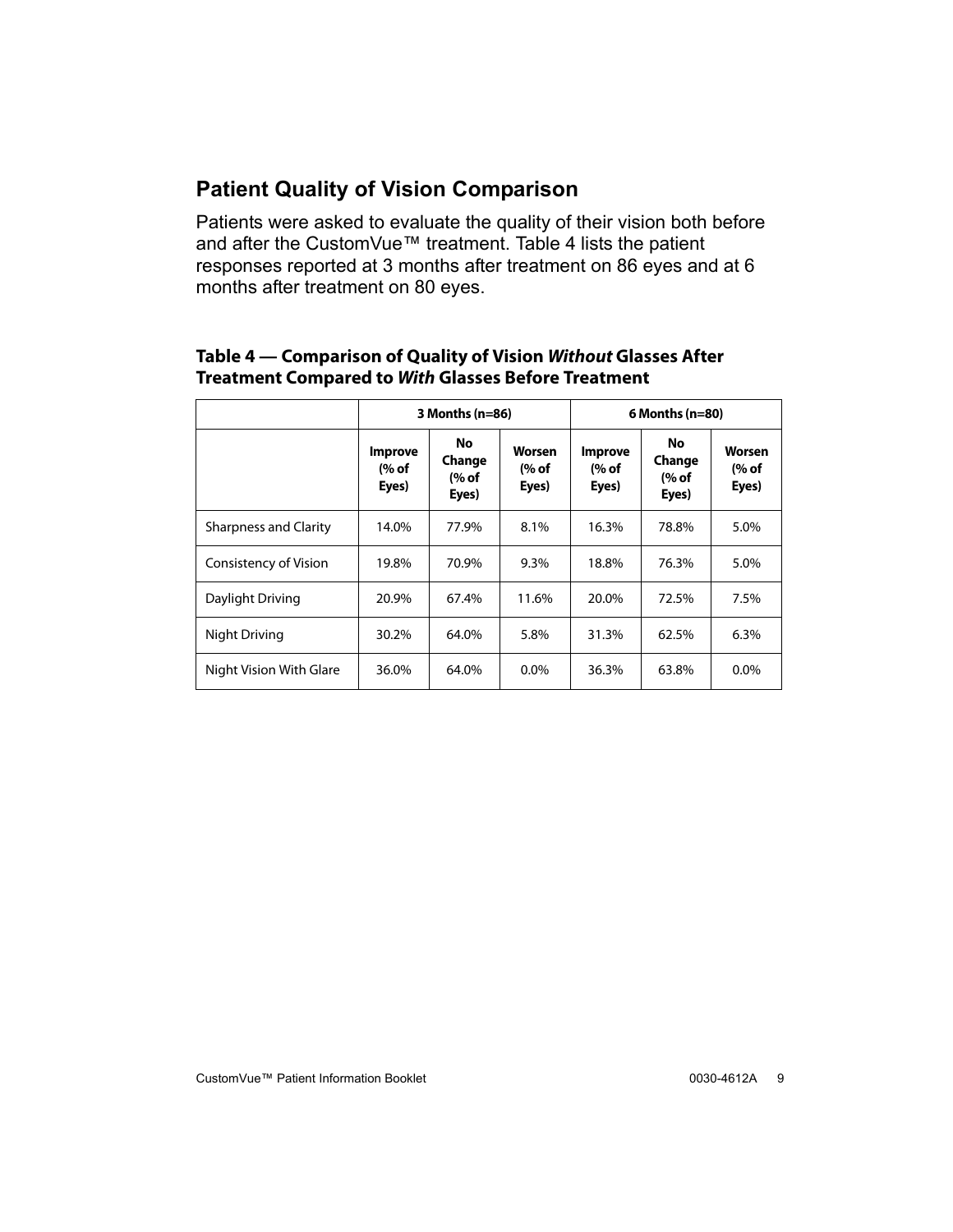## <span id="page-12-0"></span>**Patient Quality of Vision Comparison**

Patients were asked to evaluate the quality of their vision both before and after the CustomVue™ treatment. [Table 4](#page-12-1) lists the patient responses reported at 3 months after treatment on 86 eyes and at 6 months after treatment on 80 eyes.

#### <span id="page-12-1"></span>**Table 4 — Comparison of Quality of Vision Without Glasses After Treatment Compared to With Glasses Before Treatment**

|                              |                                                                     | $3$ Months (n=86) |                                                              | $6$ Months (n=80) |                                 |                          |  |
|------------------------------|---------------------------------------------------------------------|-------------------|--------------------------------------------------------------|-------------------|---------------------------------|--------------------------|--|
|                              | No.<br><b>Improve</b><br>Change<br>(% of<br>(% of<br>Eyes)<br>Eyes) |                   | Worsen<br><b>Improve</b><br>(% of<br>(% of<br>Eyes)<br>Eyes) |                   | No.<br>Change<br>(% of<br>Eyes) | Worsen<br>(% of<br>Eyes) |  |
| <b>Sharpness and Clarity</b> | 14.0%                                                               | 77.9%             | 8.1%                                                         | 16.3%             | 78.8%                           | 5.0%                     |  |
| Consistency of Vision        | 19.8%                                                               | 70.9%             | 9.3%                                                         | 18.8%             | 76.3%                           | 5.0%                     |  |
| Daylight Driving             | 20.9%                                                               | 67.4%             | 11.6%                                                        | 20.0%             | 72.5%                           | 7.5%                     |  |
| Night Driving                | 30.2%                                                               | 64.0%             | 5.8%                                                         | 31.3%             | 62.5%                           | 6.3%                     |  |
| Night Vision With Glare      | 36.0%                                                               | 64.0%             | $0.0\%$                                                      | 36.3%             | 63.8%                           | $0.0\%$                  |  |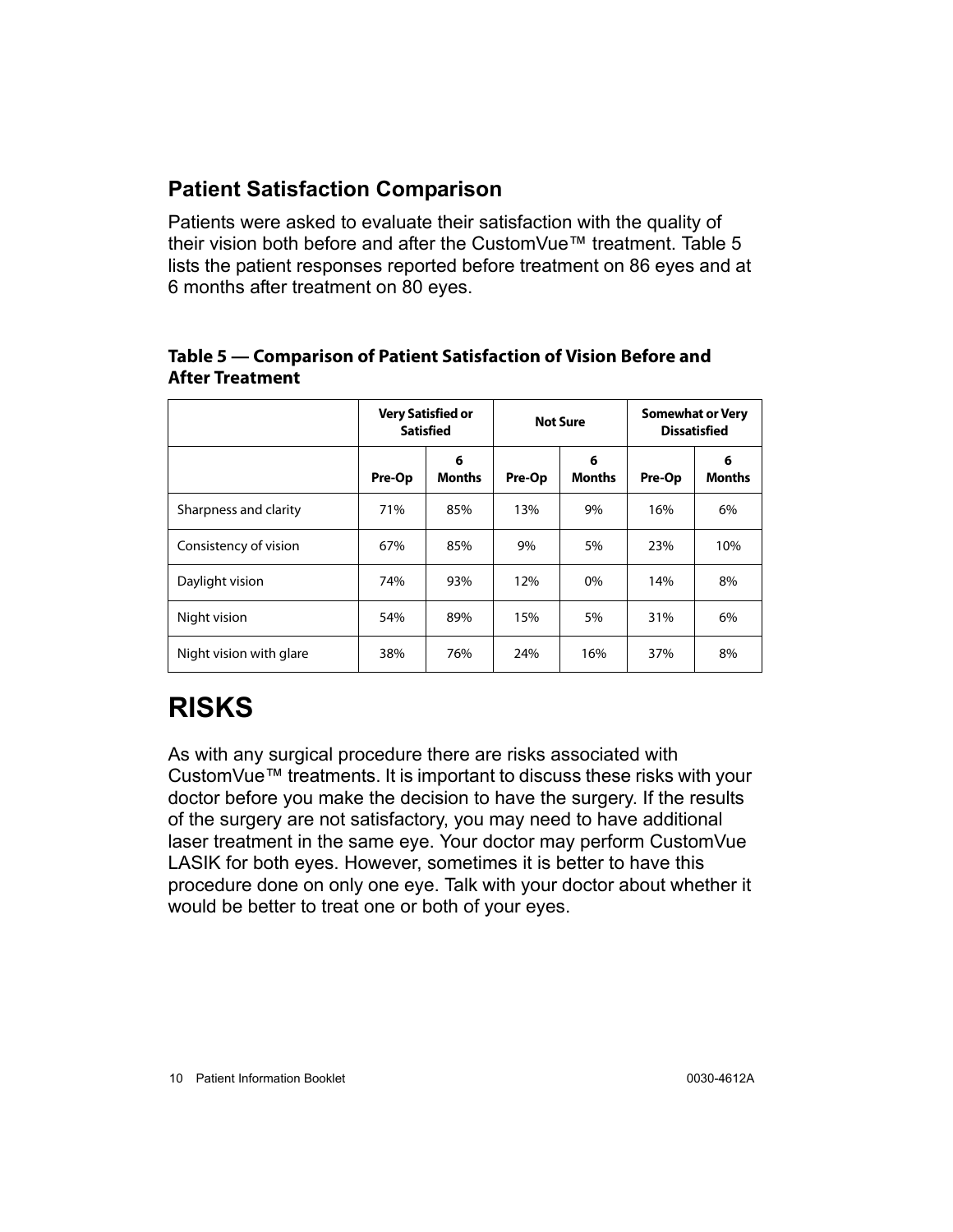#### <span id="page-13-0"></span>**Patient Satisfaction Comparison**

Patients were asked to evaluate their satisfaction with the quality of their vision both before and after the CustomVue™ treatment. Table [5](#page-13-2)  lists the patient responses reported before treatment on 86 eyes and at 6 months after treatment on 80 eyes.

#### <span id="page-13-2"></span>**Table 5 — Comparison of Patient Satisfaction of Vision Before and After Treatment**

|                         | <b>Very Satisfied or</b><br><b>Satisfied</b> |                    |        | <b>Not Sure</b>    | <b>Somewhat or Very</b><br><b>Dissatisfied</b> |                    |  |
|-------------------------|----------------------------------------------|--------------------|--------|--------------------|------------------------------------------------|--------------------|--|
|                         | Pre-Op                                       | 6<br><b>Months</b> | Pre-Op | 6<br><b>Months</b> | Pre-Op                                         | 6<br><b>Months</b> |  |
| Sharpness and clarity   | 71%                                          | 85%                | 13%    | 9%                 | 16%                                            | 6%                 |  |
| Consistency of vision   | 67%                                          | 85%                | 9%     | 5%                 | 23%                                            | 10%                |  |
| Daylight vision         | 74%                                          | 93%                | 12%    | 0%                 | 14%                                            | 8%                 |  |
| Night vision            | 54%                                          | 89%                | 15%    | 5%                 | 31%                                            | 6%                 |  |
| Night vision with glare | 38%                                          | 76%                | 24%    | 16%                | 37%                                            | 8%                 |  |

# <span id="page-13-1"></span>**RISKS**

As with any surgical procedure there are risks associated with CustomVue™ treatments. It is important to discuss these risks with your doctor before you make the decision to have the surgery. If the results of the surgery are not satisfactory, you may need to have additional laser treatment in the same eye. Your doctor may perform CustomVue LASIK for both eyes. However, sometimes it is better to have this procedure done on only one eye. Talk with your doctor about whether it would be better to treat one or both of your eyes.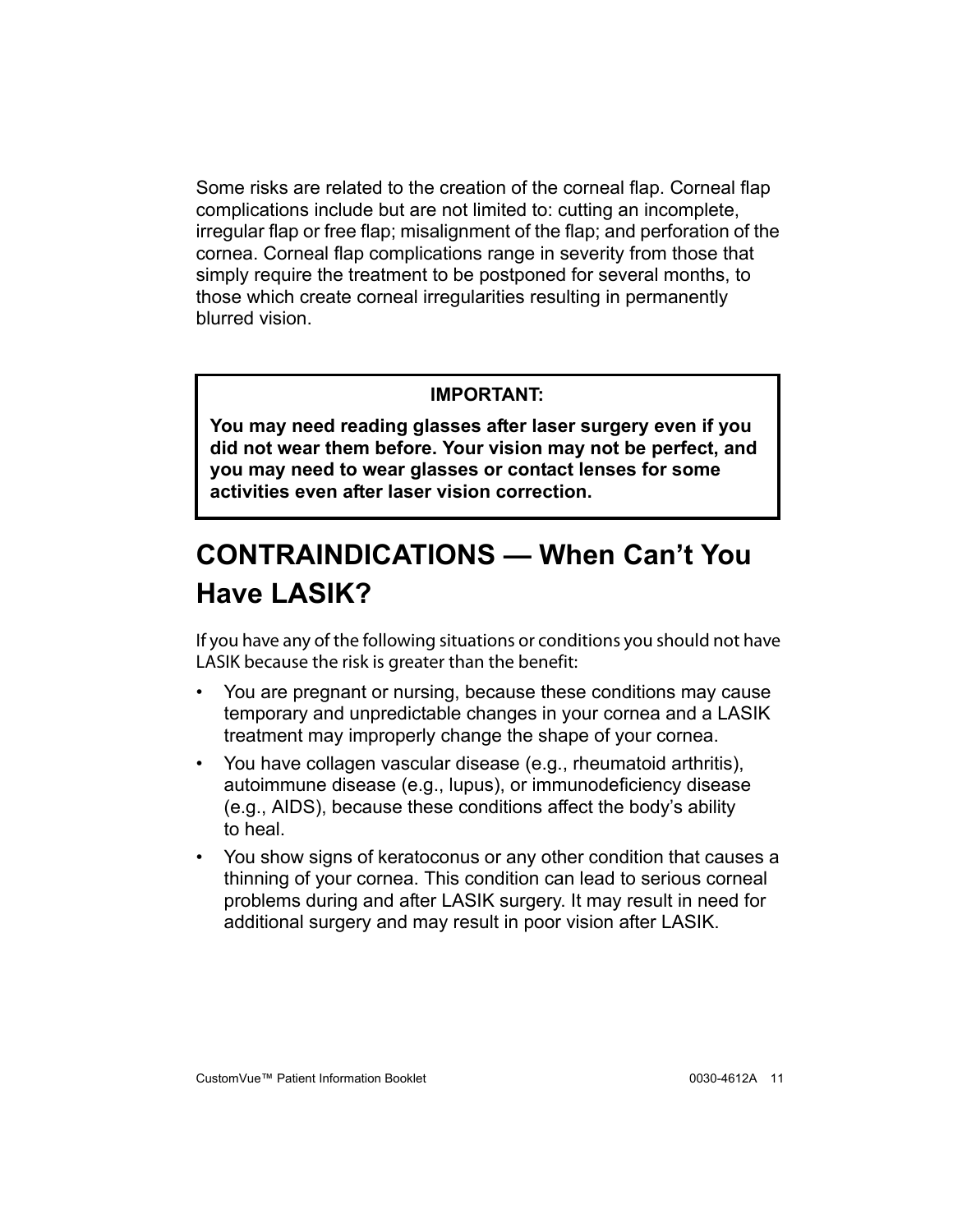Some risks are related to the creation of the corneal flap. Corneal flap complications include but are not limited to: cutting an incomplete, irregular flap or free flap; misalignment of the flap; and perforation of the cornea. Corneal flap complications range in severity from those that simply require the treatment to be postponed for several months, to those which create corneal irregularities resulting in permanently blurred vision.

#### **IMPORTANT:**

**You may need reading glasses after laser surgery even if you did not wear them before. Your vision may not be perfect, and you may need to wear glasses or contact lenses for some activities even after laser vision correction.**

# <span id="page-14-0"></span>**CONTRAINDICATIONS — When Can't You Have LASIK?**

If you have any of the following situations or conditions you should not have<br>LASIK because the risk is greater than the benefit:

- $\mathcal{L}$  because the risk is greater than the benefit  $\mathcal{L}$ • You are pregnant or nursing, because these conditions may cause temporary and unpredictable changes in your cornea and a LASIK treatment may improperly change the shape of your cornea.
- You have collagen vascular disease (e.g., rheumatoid arthritis), autoimmune disease (e.g., lupus), or immunodeficiency disease (e.g., AIDS), because these conditions affect the body's ability to heal.
- You show signs of keratoconus or any other condition that causes a thinning of your cornea. This condition can lead to serious corneal problems during and after LASIK surgery. It may result in need for additional surgery and may result in poor vision after LASIK.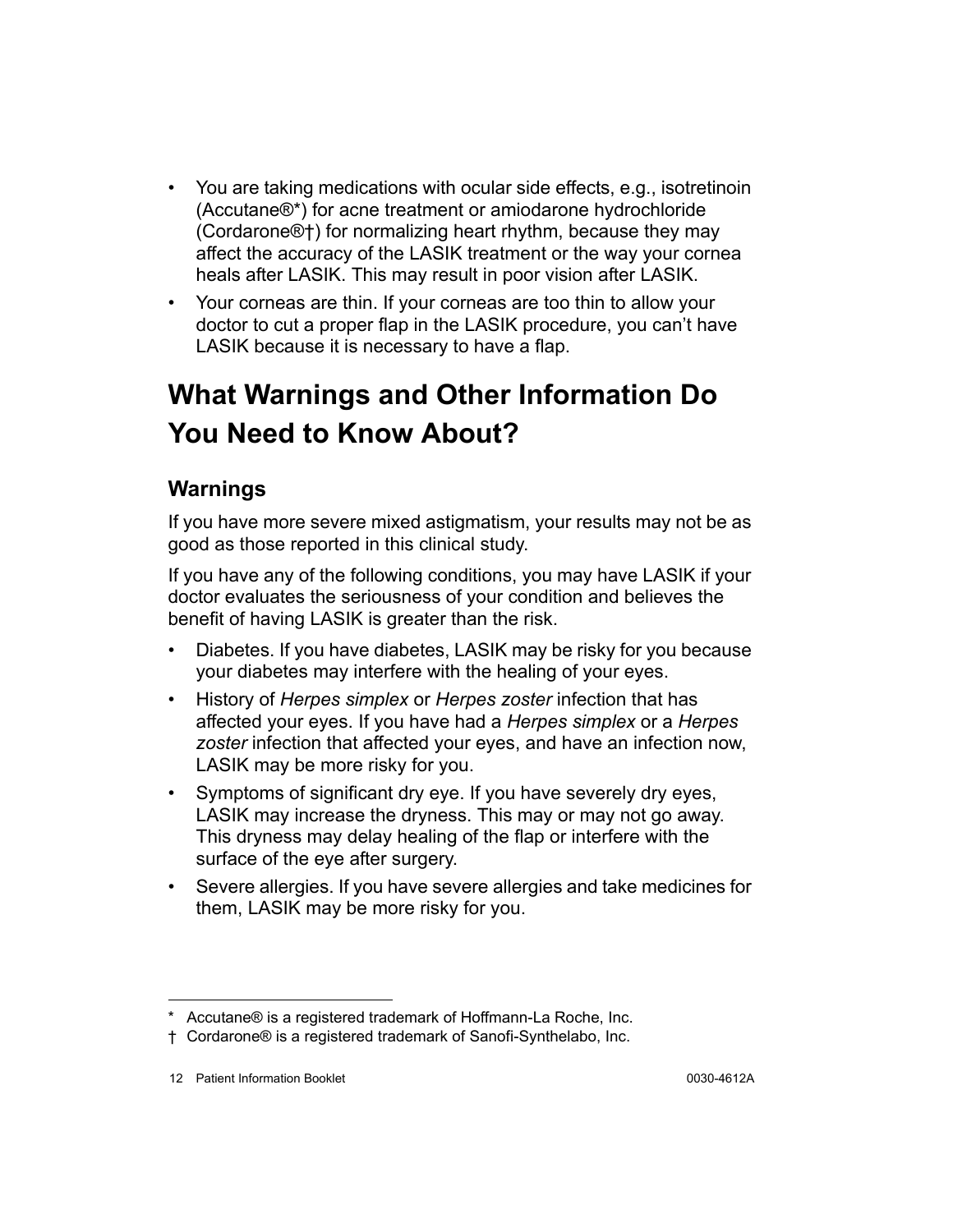- You are taking medications with ocular side effects, e.g., isotretinoin (Accutane®\*) for acne treatment or amiodarone hydrochloride (Cordarone®†) for normalizing heart rhythm, because they may affect the accuracy of the LASIK treatment or the way your cornea heals after LASIK. This may result in poor vision after LASIK.
- Your corneas are thin. If your corneas are too thin to allow your doctor to cut a proper flap in the LASIK procedure, you can't have LASIK because it is necessary to have a flap.

# <span id="page-15-0"></span>**What Warnings and Other Information Do You Need to Know About?**

## <span id="page-15-1"></span>**Warnings**

If you have more severe mixed astigmatism, your results may not be as good as those reported in this clinical study.

If you have any of the following conditions, you may have LASIK if your doctor evaluates the seriousness of your condition and believes the benefit of having LASIK is greater than the risk.

- Diabetes. If you have diabetes, LASIK may be risky for you because your diabetes may interfere with the healing of your eyes.
- History of *Herpes simplex* or *Herpes zoster* infection that has affected your eyes. If you have had a *Herpes simplex* or a *Herpes zoster* infection that affected your eyes, and have an infection now, LASIK may be more risky for you.
- Symptoms of significant dry eye. If you have severely dry eyes, LASIK may increase the dryness. This may or may not go away. This dryness may delay healing of the flap or interfere with the surface of the eye after surgery.
- Severe allergies. If you have severe allergies and take medicines for them, LASIK may be more risky for you.

<sup>\*</sup> Accutane® is a registered trademark of Hoffmann-La Roche, Inc.

<sup>†</sup> Cordarone® is a registered trademark of Sanofi-Synthelabo, Inc.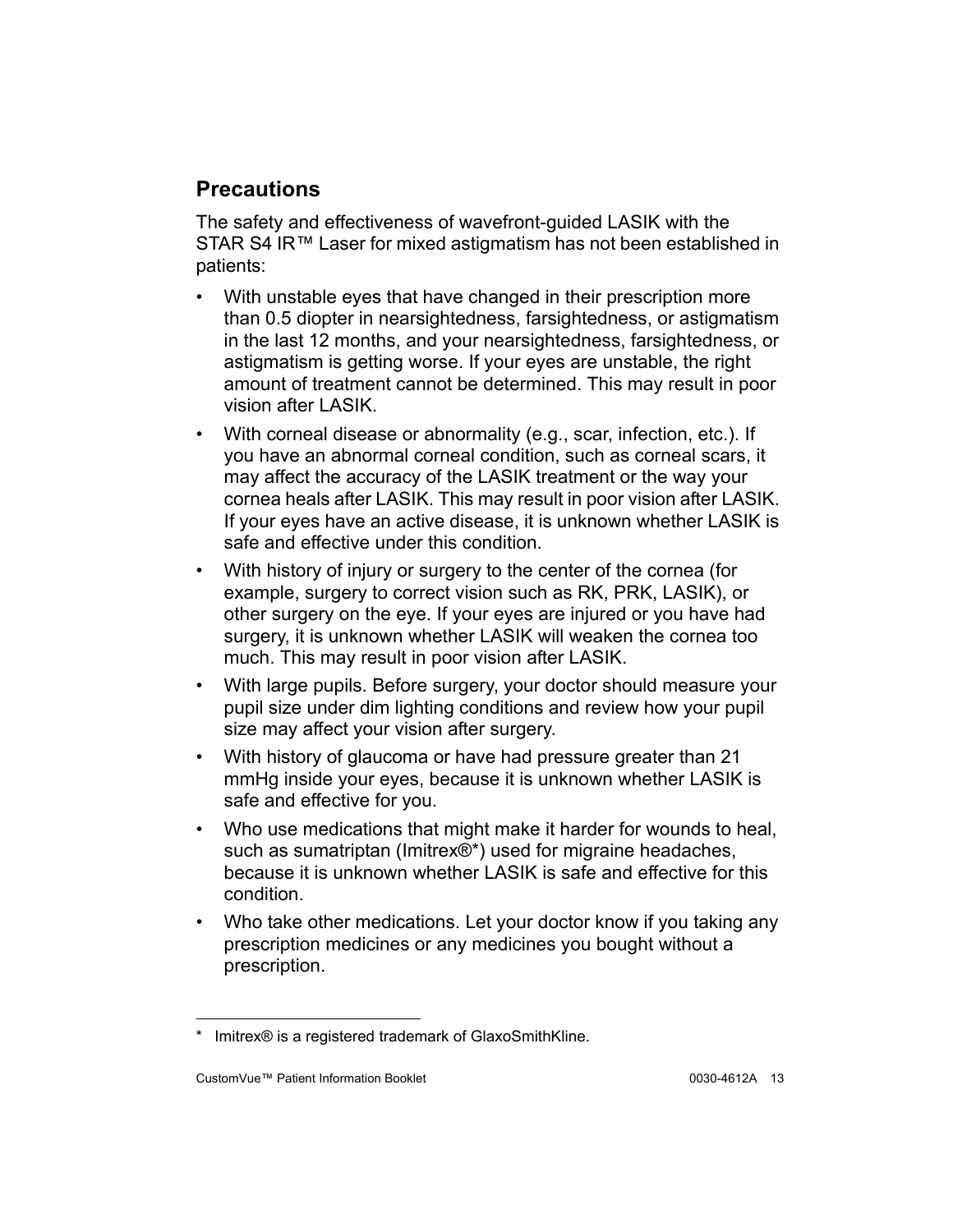## <span id="page-16-0"></span>**Precautions**

The safety and effectiveness of wavefront-guided LASIK with the STAR S4 IR<sup>™</sup> Laser for mixed astigmatism has not been established in patients:

- With unstable eyes that have changed in their prescription more than 0.5 diopter in nearsightedness, farsightedness, or astigmatism in the last 12 months, and your nearsightedness, farsightedness, or astigmatism is getting worse. If your eyes are unstable, the right amount of treatment cannot be determined. This may result in poor vision after LASIK.
- With corneal disease or abnormality (e.g., scar, infection, etc.). If you have an abnormal corneal condition, such as corneal scars, it may affect the accuracy of the LASIK treatment or the way your cornea heals after LASIK. This may result in poor vision after LASIK. If your eyes have an active disease, it is unknown whether LASIK is safe and effective under this condition.
- With history of injury or surgery to the center of the cornea (for example, surgery to correct vision such as RK, PRK, LASIK), or other surgery on the eye. If your eyes are injured or you have had surgery, it is unknown whether LASIK will weaken the cornea too much. This may result in poor vision after LASIK.
- With large pupils. Before surgery, your doctor should measure your pupil size under dim lighting conditions and review how your pupil size may affect your vision after surgery.
- With history of glaucoma or have had pressure greater than 21 mmHg inside your eyes, because it is unknown whether LASIK is safe and effective for you.
- Who use medications that might make it harder for wounds to heal, such as sumatriptan (Imitrex®\*) used for migraine headaches, because it is unknown whether LASIK is safe and effective for this condition.
- Who take other medications. Let your doctor know if you taking any prescription medicines or any medicines you bought without a prescription.

Imitrex® is a registered trademark of GlaxoSmithKline.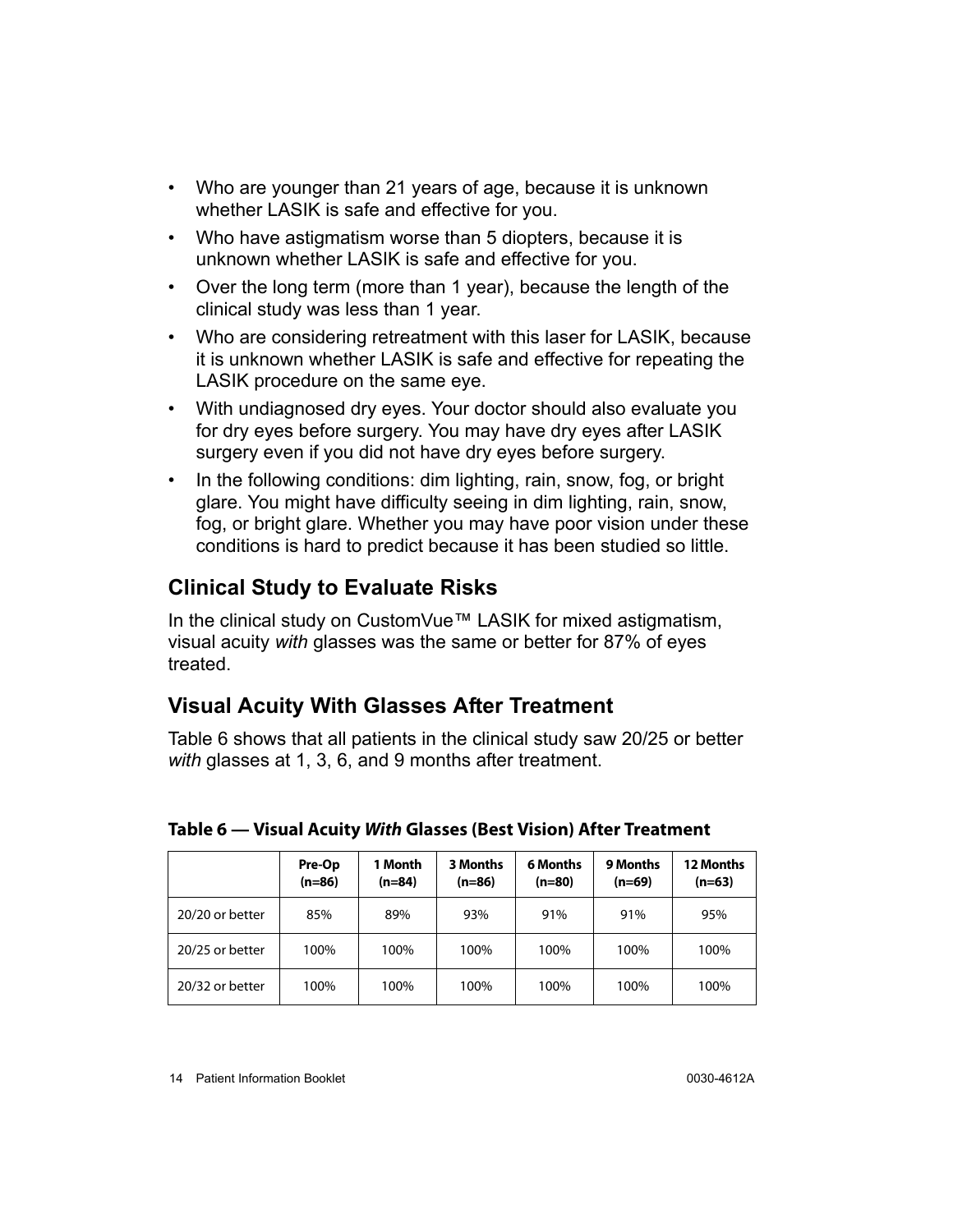- Who are younger than 21 years of age, because it is unknown whether LASIK is safe and effective for you.
- Who have astigmatism worse than 5 diopters, because it is unknown whether LASIK is safe and effective for you.
- Over the long term (more than 1 year), because the length of the clinical study was less than 1 year.
- Who are considering retreatment with this laser for LASIK, because it is unknown whether LASIK is safe and effective for repeating the LASIK procedure on the same eye.
- With undiagnosed dry eyes. Your doctor should also evaluate you for dry eyes before surgery. You may have dry eyes after LASIK surgery even if you did not have dry eyes before surgery.
- In the following conditions: dim lighting, rain, snow, fog, or bright glare. You might have difficulty seeing in dim lighting, rain, snow, fog, or bright glare. Whether you may have poor vision under these conditions is hard to predict because it has been studied so little.

## <span id="page-17-0"></span>**Clinical Study to Evaluate Risks**

In the clinical study on CustomVue™ LASIK for mixed astigmatism, visual acuity *with* glasses was the same or better for 87% of eyes treated.

#### <span id="page-17-1"></span>**Visual Acuity With Glasses After Treatment**

Table [6](#page-17-2) shows that all patients in the clinical study saw 20/25 or better *with* glasses at 1, 3, 6, and 9 months after treatment.

|                 | Pre-Op<br>$(n=86)$ | 1 Month<br>$(n=84)$ | 3 Months<br>$(n=86)$ | <b>6 Months</b><br>$(n=80)$ | <b>9 Months</b><br>$(n=69)$ | <b>12 Months</b><br>$(n=63)$ |
|-----------------|--------------------|---------------------|----------------------|-----------------------------|-----------------------------|------------------------------|
| 20/20 or better | 85%                | 89%                 | 93%                  | 91%                         | 91%                         | 95%                          |
| 20/25 or better | 100%               | 100%                | 100%                 | 100%                        | 100%                        | 100%                         |
| 20/32 or better | 100%               | 100%                | 100%                 | 100%                        | 100%                        | 100%                         |

#### <span id="page-17-2"></span>**Table 6 — Visual Acuity With Glasses (Best Vision) After Treatment**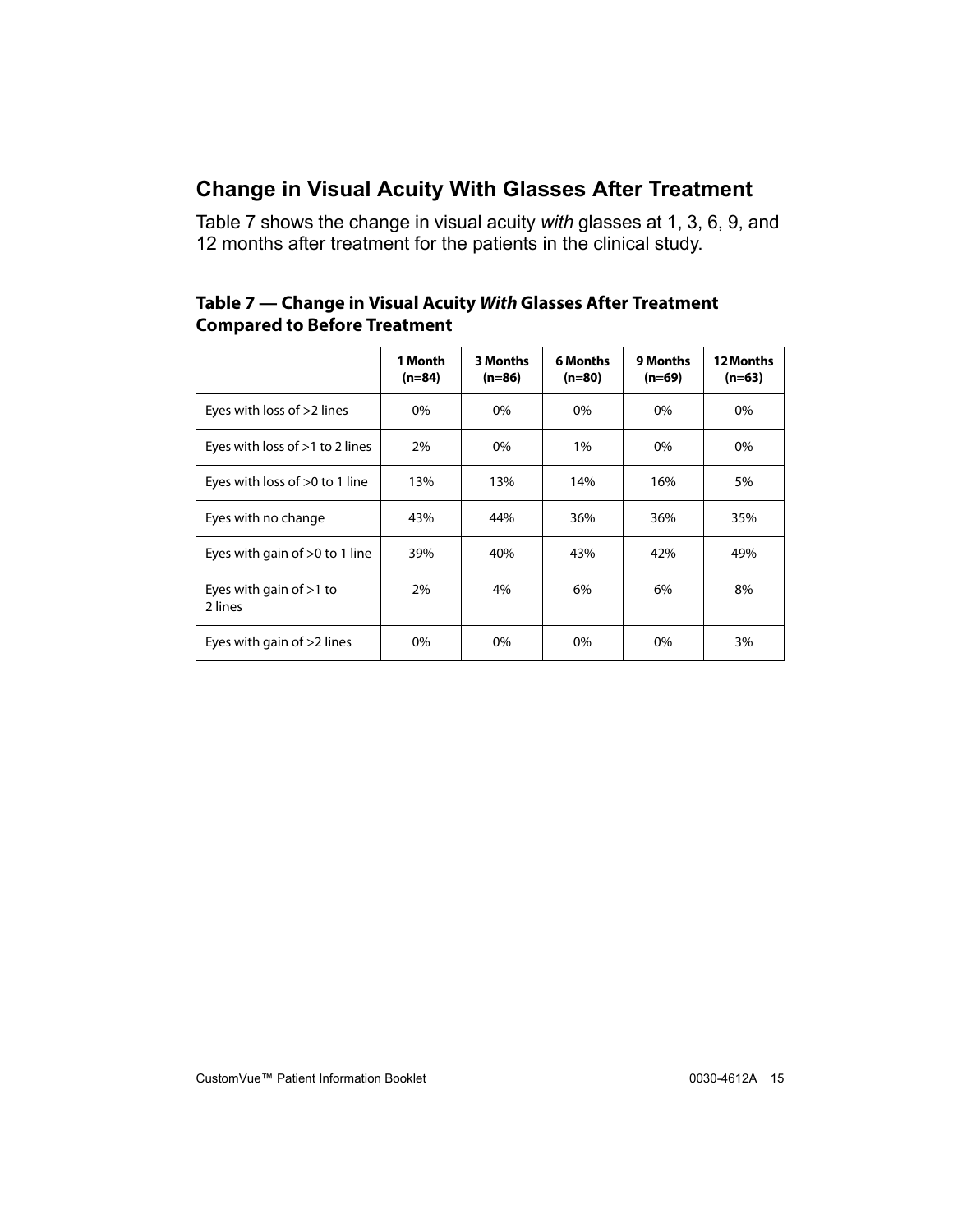## <span id="page-18-0"></span>**Change in Visual Acuity With Glasses After Treatment**

Table [7](#page-18-1) shows the change in visual acuity *with* glasses at 1, 3, 6, 9, and 12 months after treatment for the patients in the clinical study.

|                                            | 1 Month<br>$(n=84)$ | <b>3 Months</b><br>$(n=86)$ | <b>6 Months</b><br>$(n=80)$ | 9 Months<br>$(n=69)$ | 12 Months<br>$(n=63)$ |
|--------------------------------------------|---------------------|-----------------------------|-----------------------------|----------------------|-----------------------|
| Eyes with loss of $>2$ lines               | $0\%$               | 0%                          | $0\%$                       | 0%                   | 0%                    |
| Eyes with loss of >1 to 2 lines            | 2%                  | 0%                          | $1\%$                       | 0%                   | 0%                    |
| Eyes with loss of $>0$ to 1 line           | 13%                 | 13%                         | 16%<br>14%                  |                      | 5%                    |
| Eyes with no change                        | 43%                 | 44%                         | 36%                         | 36%                  | 35%                   |
| Eyes with gain of $>0$ to 1 line           | 39%                 | 40%                         | 43%                         | 42%                  | 49%                   |
| Eyes with gain of $>1$ to<br>2%<br>2 lines |                     | 4%                          | 6%                          | 6%                   | 8%                    |
| Eyes with gain of $>2$ lines               | 0%                  | 0%                          | 0%                          | 0%                   | 3%                    |

#### <span id="page-18-1"></span>**Table 7 — Change in Visual Acuity With Glasses After Treatment Compared to Before Treatment**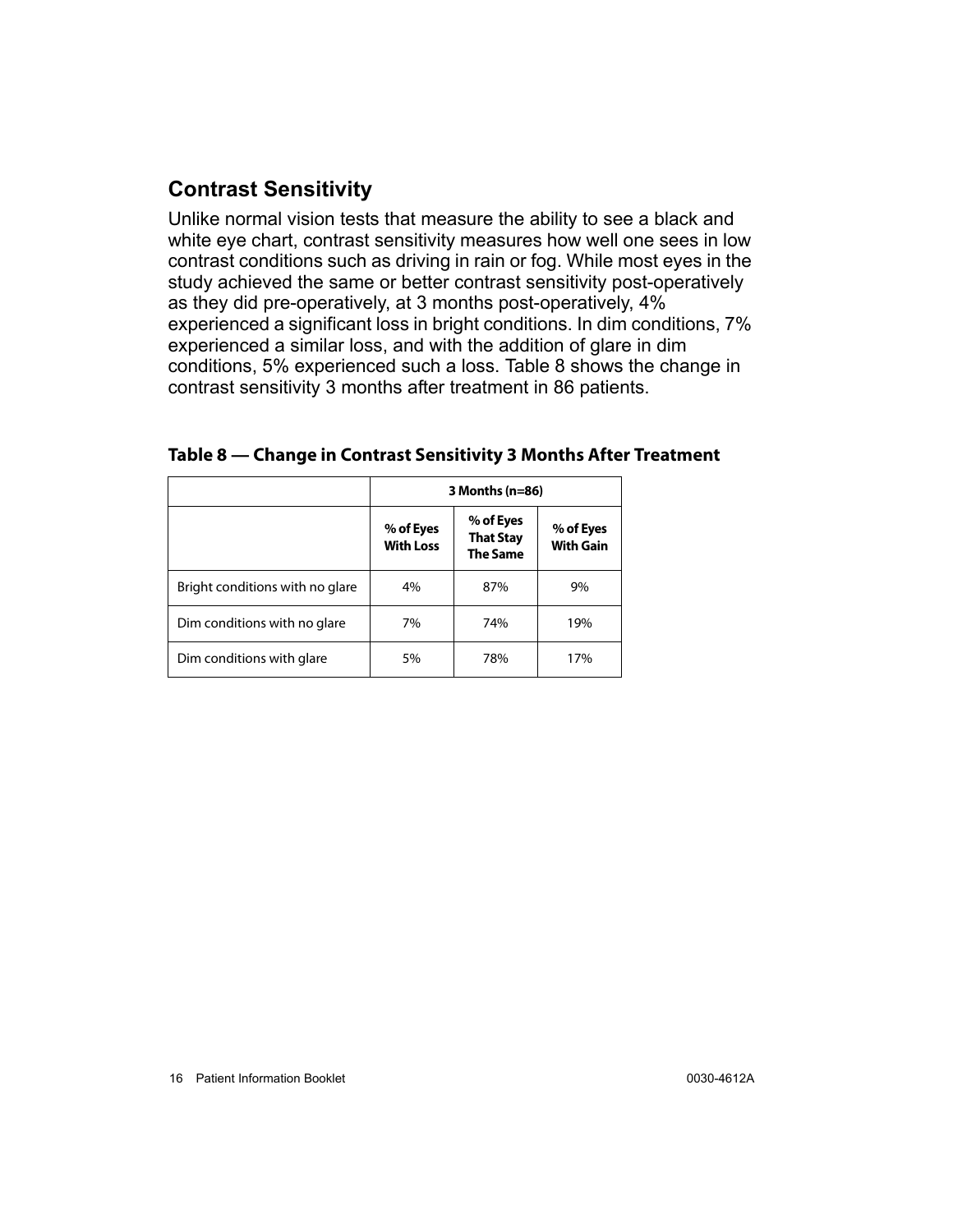## <span id="page-19-0"></span>**Contrast Sensitivity**

Unlike normal vision tests that measure the ability to see a black and white eye chart, contrast sensitivity measures how well one sees in low contrast conditions such as driving in rain or fog. While most eyes in the study achieved the same or better contrast sensitivity post-operatively as they did pre-operatively, at 3 months post-operatively, 4% experienced a significant loss in bright conditions. In dim conditions, 7% experienced a similar loss, and with the addition of glare in dim conditions, 5% experienced such a loss. Table [8](#page-19-1) shows the change in contrast sensitivity 3 months after treatment in 86 patients.

|                                 | 3 Months (n=86)               |                                                  |                               |  |  |  |  |  |
|---------------------------------|-------------------------------|--------------------------------------------------|-------------------------------|--|--|--|--|--|
|                                 | % of Eyes<br><b>With Loss</b> | % of Eyes<br><b>That Stay</b><br><b>The Same</b> | % of Eyes<br><b>With Gain</b> |  |  |  |  |  |
| Bright conditions with no glare | 4%                            | 87%                                              | 9%                            |  |  |  |  |  |
| Dim conditions with no glare    | 7%                            | 74%                                              | 19%                           |  |  |  |  |  |
| Dim conditions with glare       | 5%                            | 78%                                              | 17%                           |  |  |  |  |  |

#### <span id="page-19-1"></span>**Table 8 — Change in Contrast Sensitivity 3 Months After Treatment**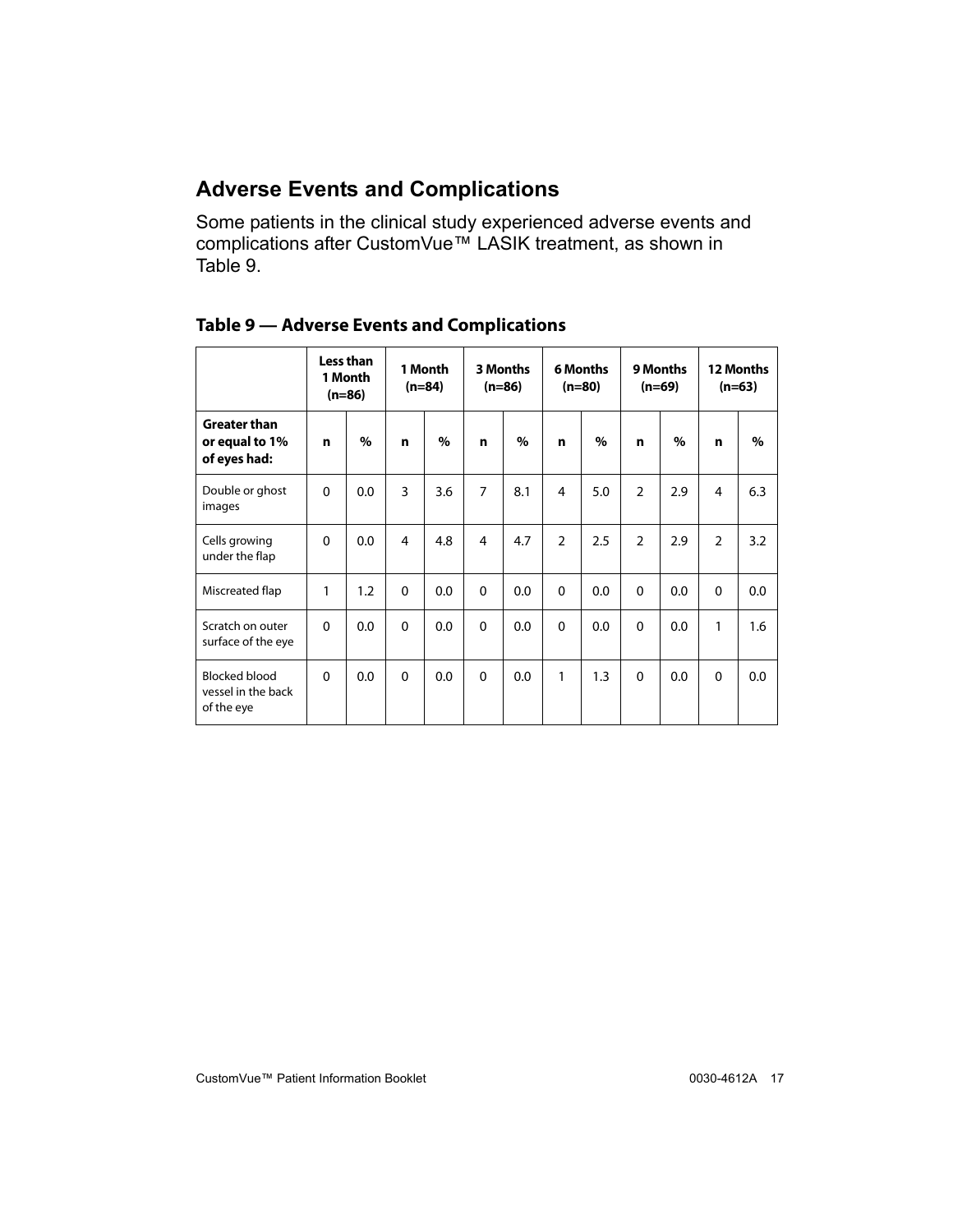#### <span id="page-20-0"></span>**Adverse Events and Complications**

Some patients in the clinical study experienced adverse events and complications after CustomVue™ LASIK treatment, as shown in Table [9.](#page-20-1)

|                                                          |          | Less than<br>1 Month<br>$(n=86)$ |              | 1 Month<br>$(n=84)$ |                | 3 Months<br>$(n=86)$ |               | <b>6 Months</b><br>$(n=80)$ |               | 9 Months<br>(n=69) |                | 12 Months<br>$(n=63)$ |
|----------------------------------------------------------|----------|----------------------------------|--------------|---------------------|----------------|----------------------|---------------|-----------------------------|---------------|--------------------|----------------|-----------------------|
| <b>Greater than</b><br>or equal to 1%<br>of eyes had:    | n        | $\%$                             | n            | $\%$                | n              | $\%$                 | n             | $\%$                        | n             | $\%$               | n              | $\%$                  |
| Double or ghost<br>images                                | $\Omega$ | 0.0                              | 3            | 3.6                 | $\overline{7}$ | 8.1                  | 4             | 5.0                         | $\mathcal{P}$ | 2.9                | 4              | 6.3                   |
| Cells growing<br>under the flap                          | $\Omega$ | 0.0                              | 4            | 4.8                 | 4              | 4.7                  | $\mathcal{P}$ | 2.5                         | $\mathcal{P}$ | 2.9                | $\mathfrak{D}$ | 3.2                   |
| Miscreated flap                                          | 1        | 1.2                              | $\mathbf{0}$ | 0.0                 | $\Omega$       | 0.0                  | $\Omega$      | 0.0                         | $\Omega$      | 0.0                | $\Omega$       | 0.0                   |
| Scratch on outer<br>surface of the eye                   | $\Omega$ | 0.0                              | $\Omega$     | 0.0                 | $\Omega$       | 0.0                  | $\Omega$      | 0.0                         | $\Omega$      | 0.0                | 1              | 1.6                   |
| <b>Blocked blood</b><br>vessel in the back<br>of the eye | $\Omega$ | 0.0                              | $\mathbf{0}$ | 0.0                 | $\mathbf{0}$   | 0.0                  | 1             | 1.3                         | $\Omega$      | 0.0                | $\Omega$       | 0.0                   |

<span id="page-20-1"></span>

|  |  | <b>Table 9 - Adverse Events and Complications</b> |  |  |
|--|--|---------------------------------------------------|--|--|
|--|--|---------------------------------------------------|--|--|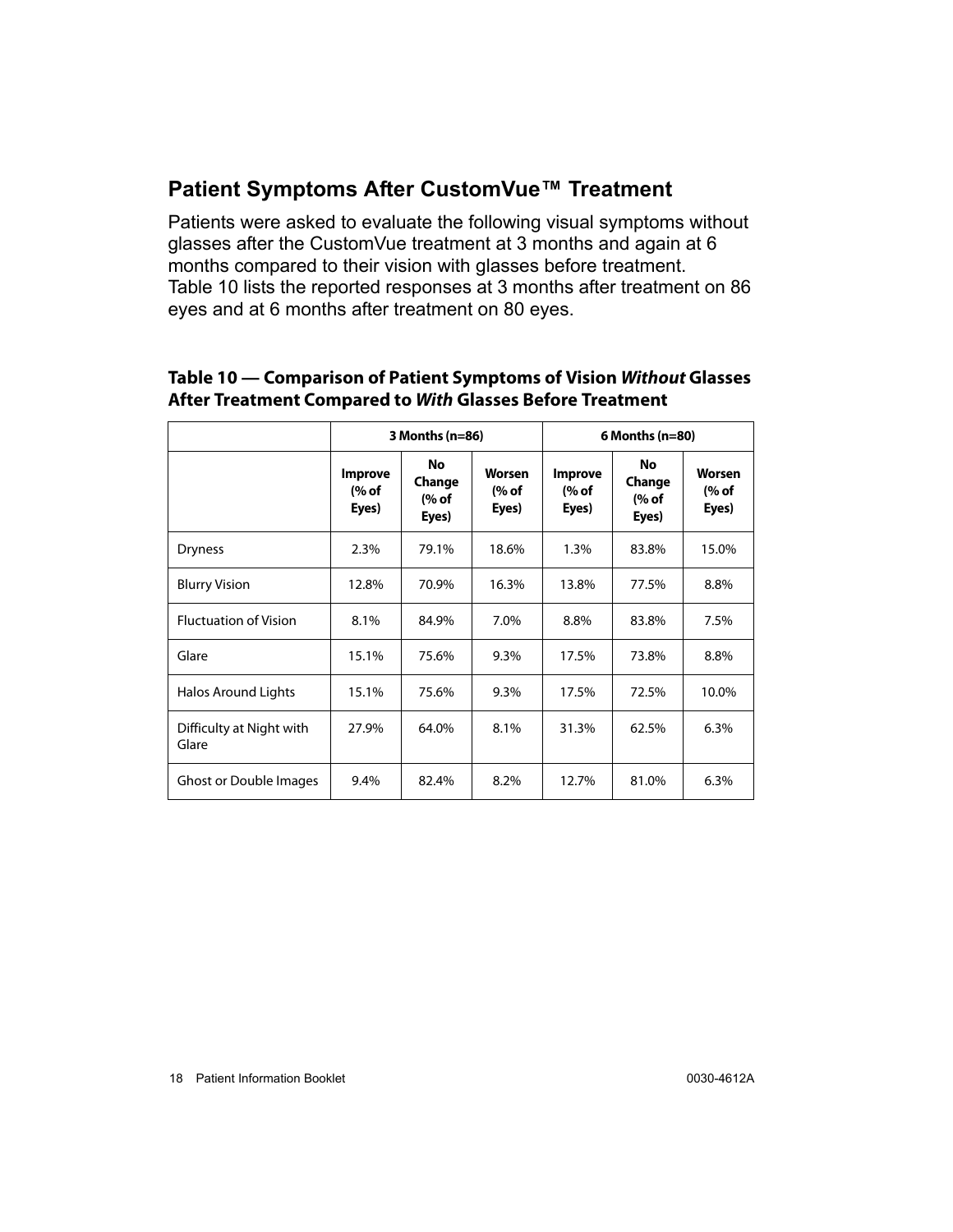#### <span id="page-21-0"></span>**Patient Symptoms After CustomVue™ Treatment**

Patients were asked to evaluate the following visual symptoms without glasses after the CustomVue treatment at 3 months and again at 6 months compared to their vision with glasses before treatment. Table [10](#page-21-1) lists the reported responses at 3 months after treatment on 86 eyes and at 6 months after treatment on 80 eyes.

#### <span id="page-21-1"></span>**Table 10 — Comparison of Patient Symptoms of Vision Without Glasses After Treatment Compared to With Glasses Before Treatment**

|                                   | 3 Months (n=86)                  |                                |                          | $6$ Months (n=80)                |                                |                          |
|-----------------------------------|----------------------------------|--------------------------------|--------------------------|----------------------------------|--------------------------------|--------------------------|
|                                   | <b>Improve</b><br>(% of<br>Eyes) | No<br>Change<br>(% of<br>Eyes) | Worsen<br>(% of<br>Eyes) | <b>Improve</b><br>(% of<br>Eyes) | No<br>Change<br>(% of<br>Eyes) | Worsen<br>(% of<br>Eyes) |
| <b>Dryness</b>                    | 2.3%                             | 79.1%                          | 18.6%                    | 1.3%                             | 83.8%                          | 15.0%                    |
| <b>Blurry Vision</b>              | 12.8%                            | 70.9%                          | 16.3%                    | 13.8%                            | 77.5%                          | 8.8%                     |
| <b>Fluctuation of Vision</b>      | 8.1%                             | 84.9%                          | 7.0%                     | 8.8%                             | 83.8%                          | 7.5%                     |
| Glare                             | 15.1%                            | 75.6%                          | 9.3%                     | 17.5%                            | 73.8%                          | 8.8%                     |
| <b>Halos Around Lights</b>        | 15.1%                            | 75.6%                          | 9.3%                     | 17.5%                            | 72.5%                          | 10.0%                    |
| Difficulty at Night with<br>Glare | 27.9%                            | 64.0%                          | 8.1%                     | 31.3%                            | 62.5%                          | 6.3%                     |
| Ghost or Double Images            | 9.4%                             | 82.4%                          | 8.2%                     | 12.7%                            | 81.0%                          | 6.3%                     |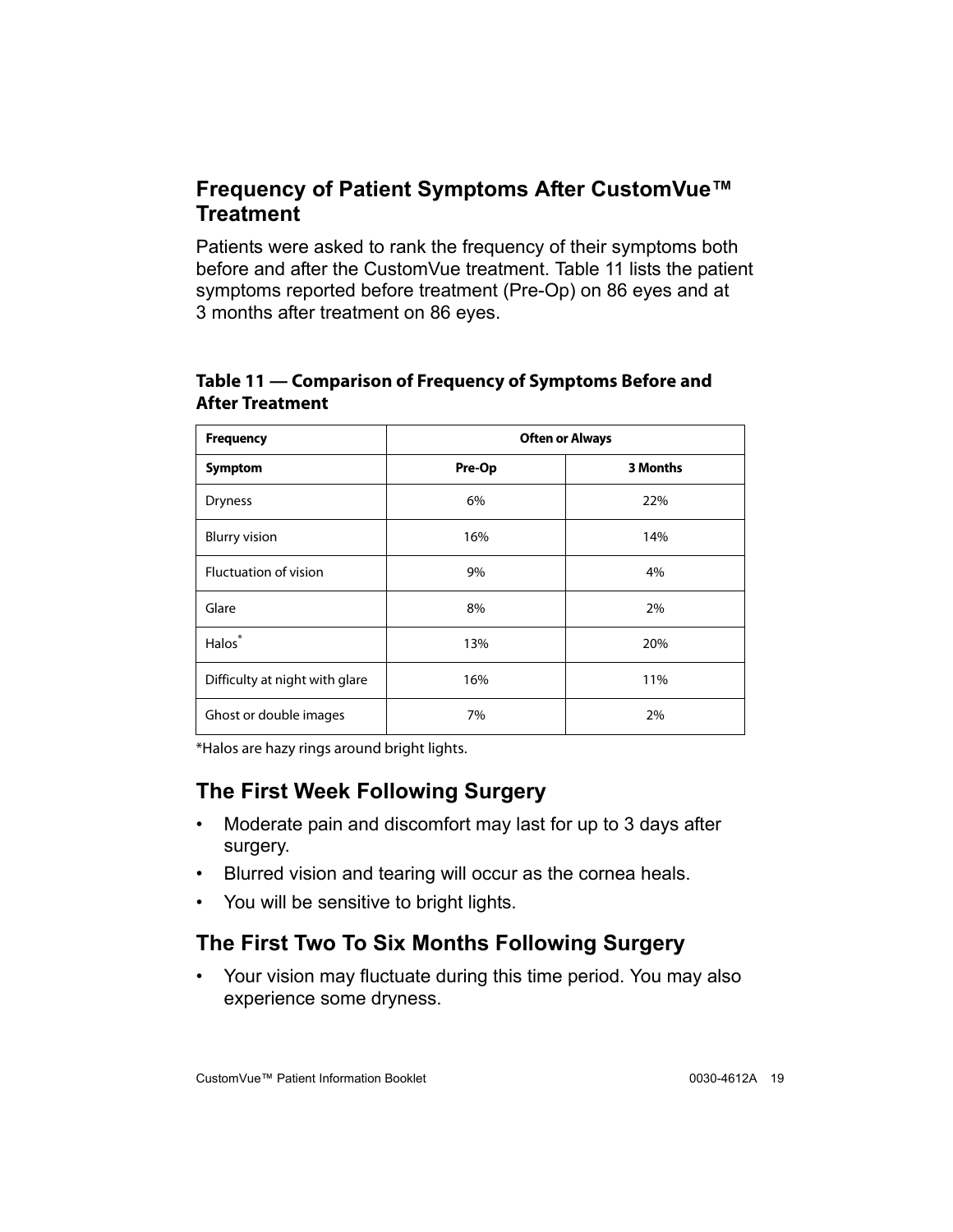### <span id="page-22-0"></span>**Frequency of Patient Symptoms After CustomVue™ Treatment**

Patients were asked to rank the frequency of their symptoms both before and after the CustomVue treatment. Table [11](#page-22-3) lists the patient symptoms reported before treatment (Pre-Op) on 86 eyes and at 3 months after treatment on 86 eyes.

| <b>Frequency</b>               | <b>Often or Always</b> |          |  |
|--------------------------------|------------------------|----------|--|
| <b>Symptom</b>                 | Pre-Op                 | 3 Months |  |
| <b>Dryness</b>                 | 6%                     | 22%      |  |
| <b>Blurry vision</b>           | 16%                    | 14%      |  |
| <b>Fluctuation of vision</b>   | 9%                     | 4%       |  |
| Glare                          | 8%                     | 2%       |  |
| Halos <sup>*</sup>             | 13%                    | 20%      |  |
| Difficulty at night with glare | 16%                    | 11%      |  |
| Ghost or double images         | 7%                     | 2%       |  |

#### <span id="page-22-3"></span>**Table 11 — Comparison of Frequency of Symptoms Before and After Treatment**

\*Halos are hazy rings around bright lights.

## <span id="page-22-1"></span>**The First Week Following Surgery**

- Moderate pain and discomfort may last for up to 3 days after surgery.
- Blurred vision and tearing will occur as the cornea heals.
- You will be sensitive to bright lights.

## <span id="page-22-2"></span>**The First Two To Six Months Following Surgery**

• Your vision may fluctuate during this time period. You may also experience some dryness.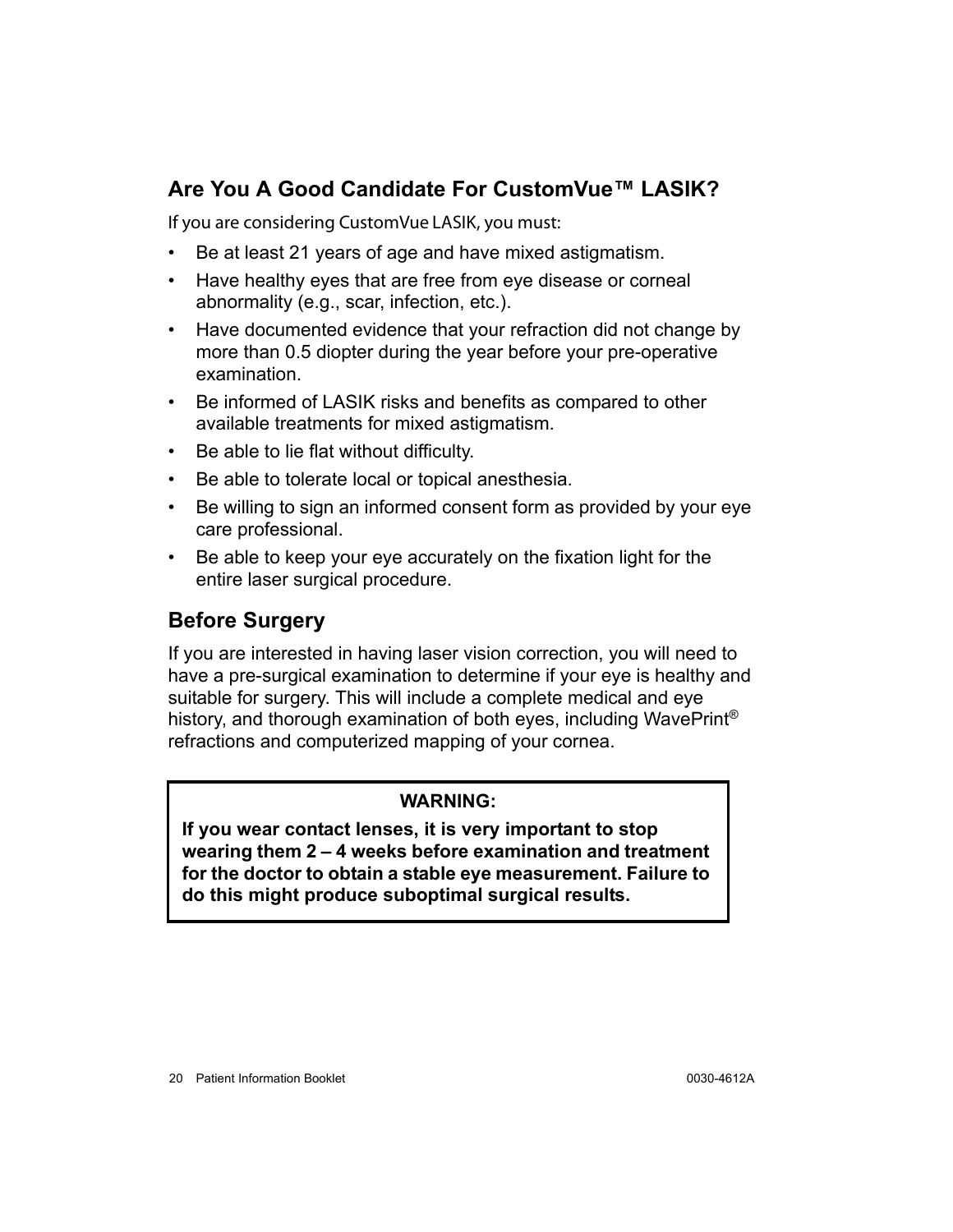## <span id="page-23-0"></span>**Are You A Good Candidate For CustomVue™ LASIK?**

- If you are considering CustomVue LASIK, you must: • Be at least 21 years of age and have mixed astigmatism.
- Have healthy eyes that are free from eye disease or corneal abnormality (e.g., scar, infection, etc.).
- Have documented evidence that your refraction did not change by more than 0.5 diopter during the year before your pre-operative examination.
- Be informed of LASIK risks and benefits as compared to other available treatments for mixed astigmatism.
- Be able to lie flat without difficulty.
- Be able to tolerate local or topical anesthesia.
- Be willing to sign an informed consent form as provided by your eye care professional.
- Be able to keep your eye accurately on the fixation light for the entire laser surgical procedure.

#### <span id="page-23-1"></span>**Before Surgery**

If you are interested in having laser vision correction, you will need to have a pre-surgical examination to determine if your eye is healthy and suitable for surgery. This will include a complete medical and eye history, and thorough examination of both eyes, including WavePrint<sup>®</sup> refractions and computerized mapping of your cornea.

#### **WARNING:**

**If you wear contact lenses, it is very important to stop wearing them 2 – 4 weeks before examination and treatment for the doctor to obtain a stable eye measurement. Failure to do this might produce suboptimal surgical results.**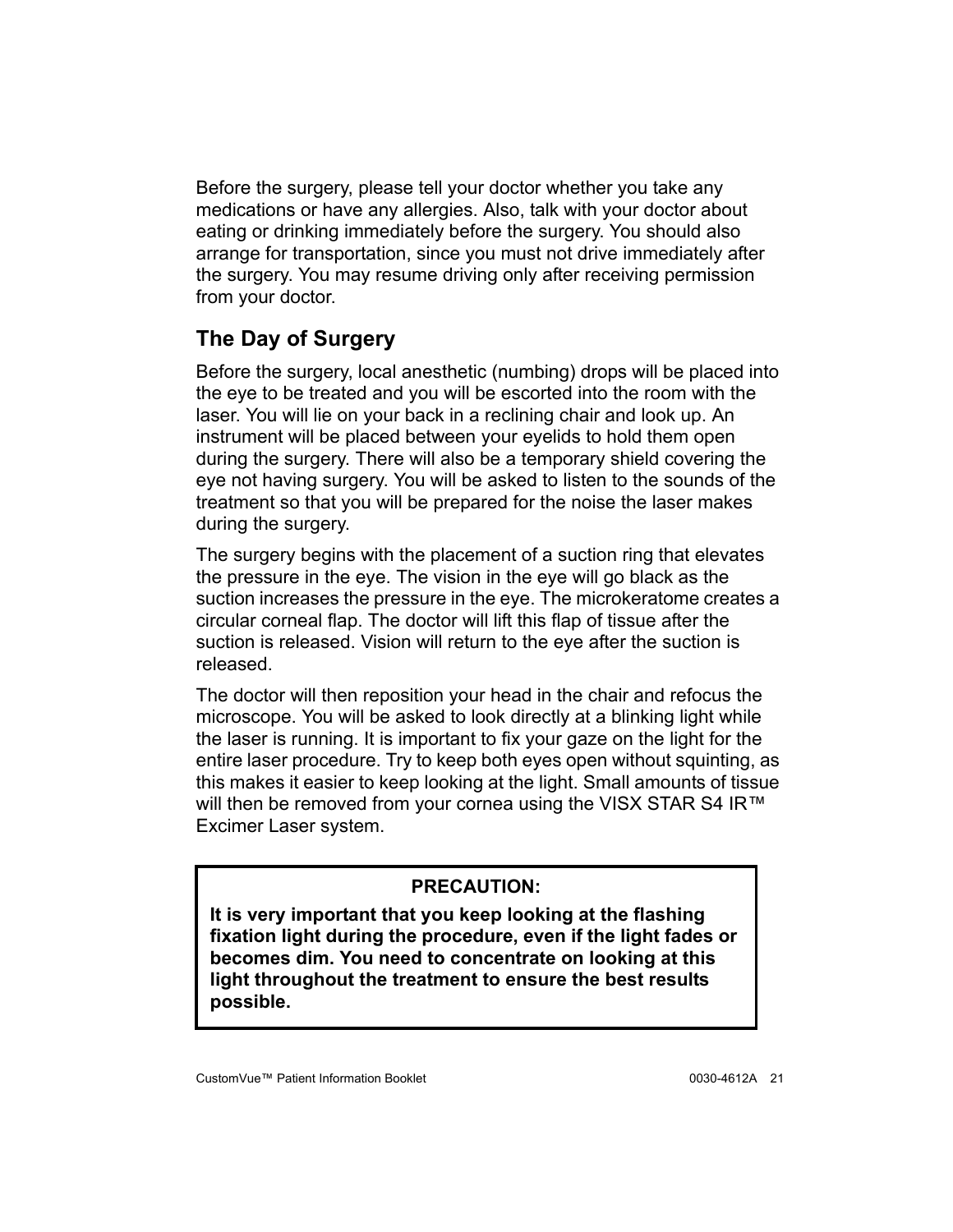Before the surgery, please tell your doctor whether you take any medications or have any allergies. Also, talk with your doctor about eating or drinking immediately before the surgery. You should also arrange for transportation, since you must not drive immediately after the surgery. You may resume driving only after receiving permission from your doctor.

# <span id="page-24-0"></span>**The Day of Surgery**

Before the surgery, local anesthetic (numbing) drops will be placed into the eye to be treated and you will be escorted into the room with the laser. You will lie on your back in a reclining chair and look up. An instrument will be placed between your eyelids to hold them open during the surgery. There will also be a temporary shield covering the eye not having surgery. You will be asked to listen to the sounds of the treatment so that you will be prepared for the noise the laser makes during the surgery.

The surgery begins with the placement of a suction ring that elevates the pressure in the eye. The vision in the eye will go black as the suction increases the pressure in the eye. The microkeratome creates a circular corneal flap. The doctor will lift this flap of tissue after the suction is released. Vision will return to the eye after the suction is released.

The doctor will then reposition your head in the chair and refocus the microscope. You will be asked to look directly at a blinking light while the laser is running. It is important to fix your gaze on the light for the entire laser procedure. Try to keep both eyes open without squinting, as this makes it easier to keep looking at the light. Small amounts of tissue will then be removed from your cornea using the VISX STAR S4 IR™ Excimer Laser system.

#### **PRECAUTION:**

**It is very important that you keep looking at the flashing fixation light during the procedure, even if the light fades or becomes dim. You need to concentrate on looking at this light throughout the treatment to ensure the best results possible.**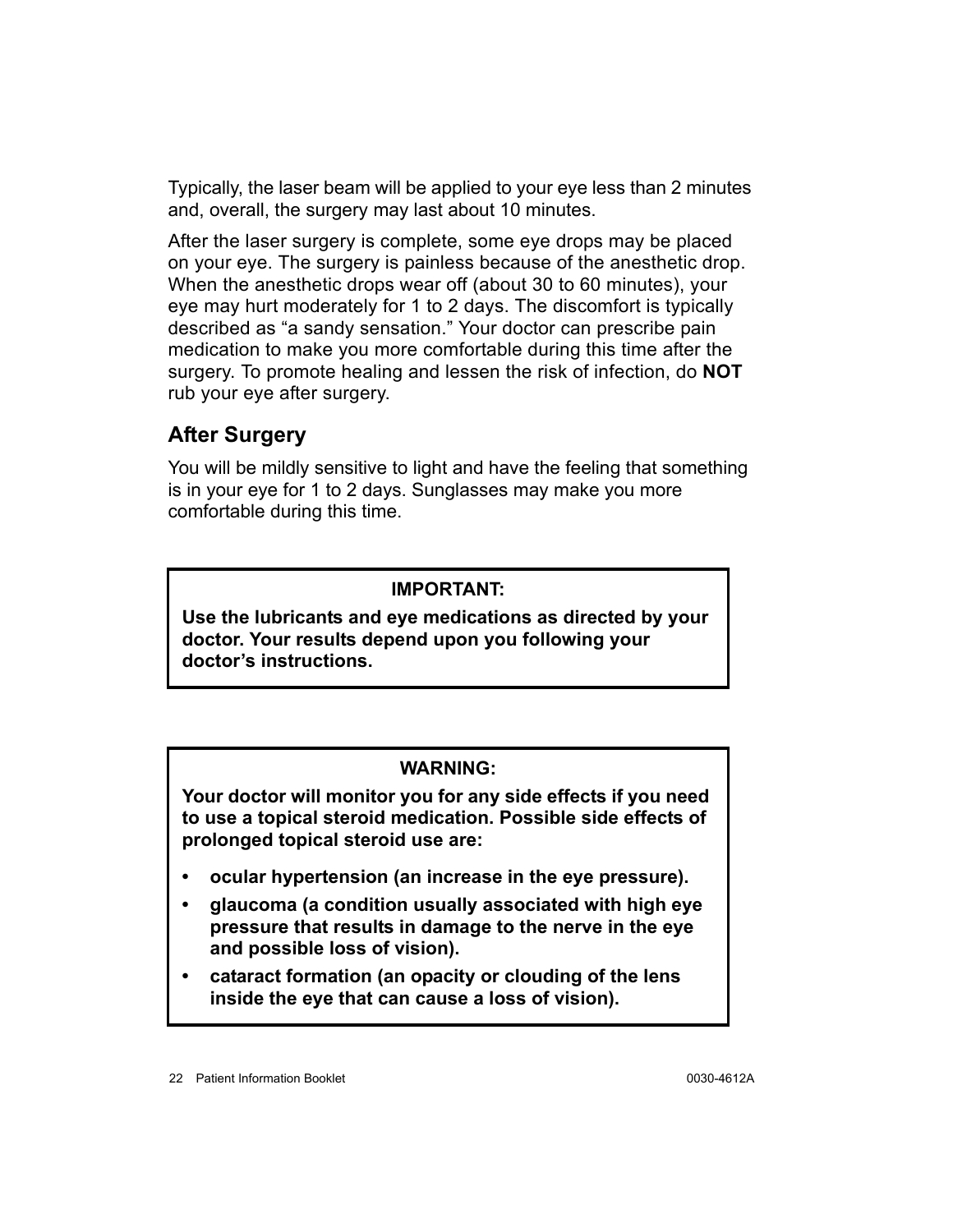Typically, the laser beam will be applied to your eye less than 2 minutes and, overall, the surgery may last about 10 minutes.

After the laser surgery is complete, some eye drops may be placed on your eye. The surgery is painless because of the anesthetic drop. When the anesthetic drops wear off (about 30 to 60 minutes), your eye may hurt moderately for 1 to 2 days. The discomfort is typically described as "a sandy sensation." Your doctor can prescribe pain medication to make you more comfortable during this time after the surgery. To promote healing and lessen the risk of infection, do **NOT** rub your eye after surgery.

## <span id="page-25-0"></span>**After Surgery**

You will be mildly sensitive to light and have the feeling that something is in your eye for 1 to 2 days. Sunglasses may make you more comfortable during this time.

#### **IMPORTANT:**

**Use the lubricants and eye medications as directed by your doctor. Your results depend upon you following your doctor's instructions.**

#### **WARNING:**

**Your doctor will monitor you for any side effects if you need to use a topical steroid medication. Possible side effects of prolonged topical steroid use are:**

- **ocular hypertension (an increase in the eye pressure).**
- **glaucoma (a condition usually associated with high eye pressure that results in damage to the nerve in the eye and possible loss of vision).**
- **cataract formation (an opacity or clouding of the lens inside the eye that can cause a loss of vision).**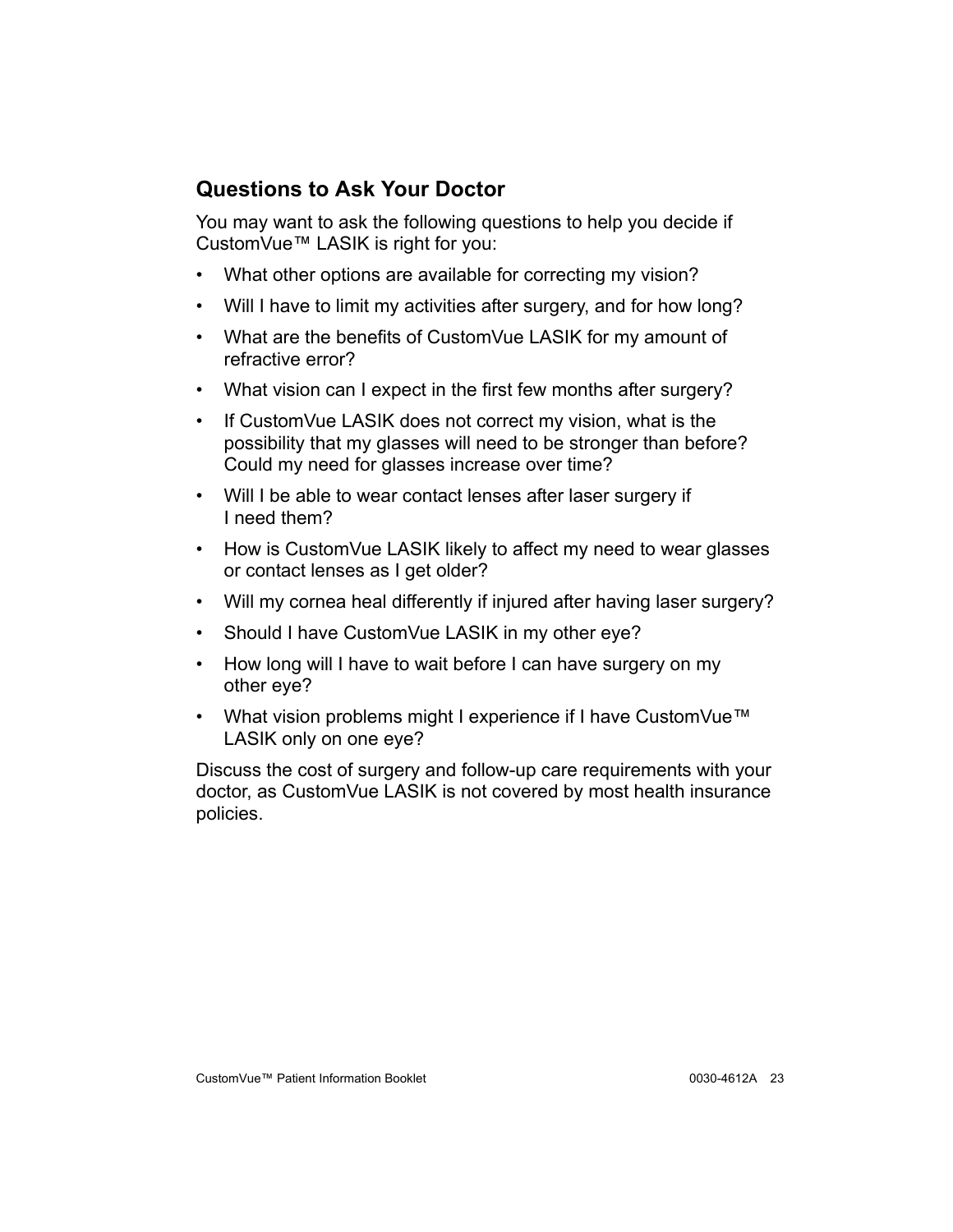## <span id="page-26-0"></span>**Questions to Ask Your Doctor**

You may want to ask the following questions to help you decide if CustomVue™ LASIK is right for you:

- What other options are available for correcting my vision?
- Will I have to limit my activities after surgery, and for how long?
- What are the benefits of CustomVue LASIK for my amount of refractive error?
- What vision can I expect in the first few months after surgery?
- If CustomVue LASIK does not correct my vision, what is the possibility that my glasses will need to be stronger than before? Could my need for glasses increase over time?
- Will I be able to wear contact lenses after laser surgery if I need them?
- How is CustomVue LASIK likely to affect my need to wear glasses or contact lenses as I get older?
- Will my cornea heal differently if injured after having laser surgery?
- Should I have CustomVue LASIK in my other eye?
- How long will I have to wait before I can have surgery on my other eye?
- What vision problems might I experience if I have CustomVue™ LASIK only on one eye?

Discuss the cost of surgery and follow-up care requirements with your doctor, as CustomVue LASIK is not covered by most health insurance policies.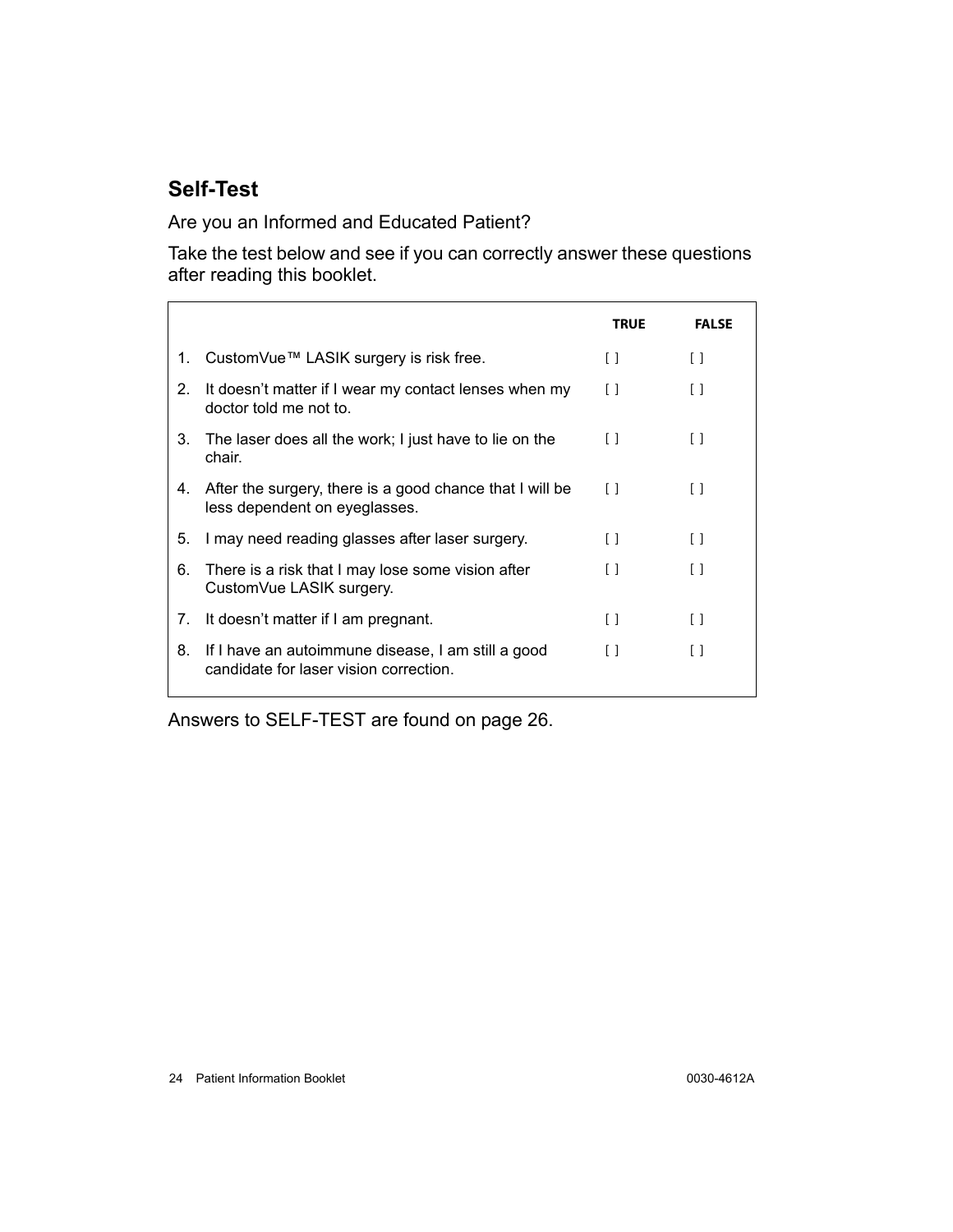## <span id="page-27-0"></span>**Self-Test**

Are you an Informed and Educated Patient?

Take the test below and see if you can correctly answer these questions after reading this booklet.

|    |                                                                                              | <b>TRUE</b> | <b>FALSE</b>                                    |
|----|----------------------------------------------------------------------------------------------|-------------|-------------------------------------------------|
| 1. | CustomVue™ LASIK surgery is risk free.                                                       | $\Box$      | $\begin{smallmatrix} 1 \end{smallmatrix}$       |
| 2. | It doesn't matter if I wear my contact lenses when my<br>doctor told me not to.              | $\Box$      | $\left[ \begin{array}{c} 1 \end{array} \right]$ |
| 3. | The laser does all the work; I just have to lie on the<br>chair.                             | $\Box$      | $\begin{smallmatrix} 1 \end{smallmatrix}$       |
| 4. | After the surgery, there is a good chance that I will be<br>less dependent on eyeglasses.    | $\Box$      | $\lceil$ 1                                      |
| 5. | I may need reading glasses after laser surgery.                                              | $\Box$      | $\left[ \begin{array}{c} 1 \end{array} \right]$ |
| 6. | There is a risk that I may lose some vision after<br>CustomVue LASIK surgery.                | $\Box$      | $\left[ \begin{array}{c} 1 \end{array} \right]$ |
| 7. | It doesn't matter if I am pregnant.                                                          | $\Box$      | $\left[ \begin{array}{c} 1 \end{array} \right]$ |
| 8. | If I have an autoimmune disease, I am still a good<br>candidate for laser vision correction. | $\Box$      | $\lceil$ 1                                      |

Answers to SELF-TEST are found on [page 26](#page-29-0).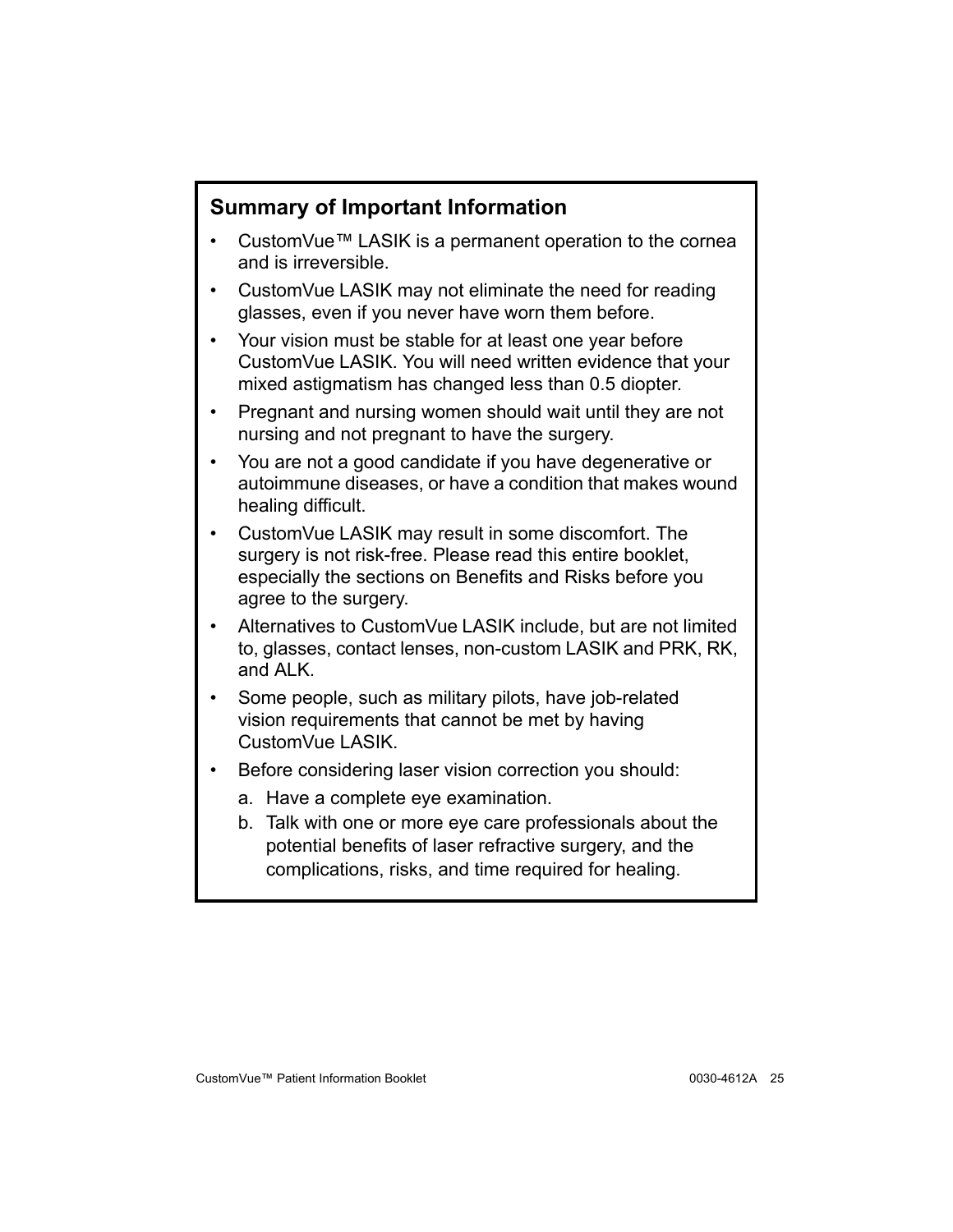### <span id="page-28-0"></span>**Summary of Important Information**

- CustomVue™ LASIK is a permanent operation to the cornea and is irreversible.
- CustomVue LASIK may not eliminate the need for reading glasses, even if you never have worn them before.
- Your vision must be stable for at least one year before CustomVue LASIK. You will need written evidence that your mixed astigmatism has changed less than 0.5 diopter.
- Pregnant and nursing women should wait until they are not nursing and not pregnant to have the surgery.
- You are not a good candidate if you have degenerative or autoimmune diseases, or have a condition that makes wound healing difficult.
- CustomVue LASIK may result in some discomfort. The surgery is not risk-free. Please read this entire booklet, especially the sections on Benefits and Risks before you agree to the surgery.
- Alternatives to CustomVue LASIK include, but are not limited to, glasses, contact lenses, non-custom LASIK and PRK, RK, and ALK.
- Some people, such as military pilots, have job-related vision requirements that cannot be met by having CustomVue LASIK.
- Before considering laser vision correction you should:
	- a. Have a complete eye examination.
	- b. Talk with one or more eye care professionals about the potential benefits of laser refractive surgery, and the complications, risks, and time required for healing.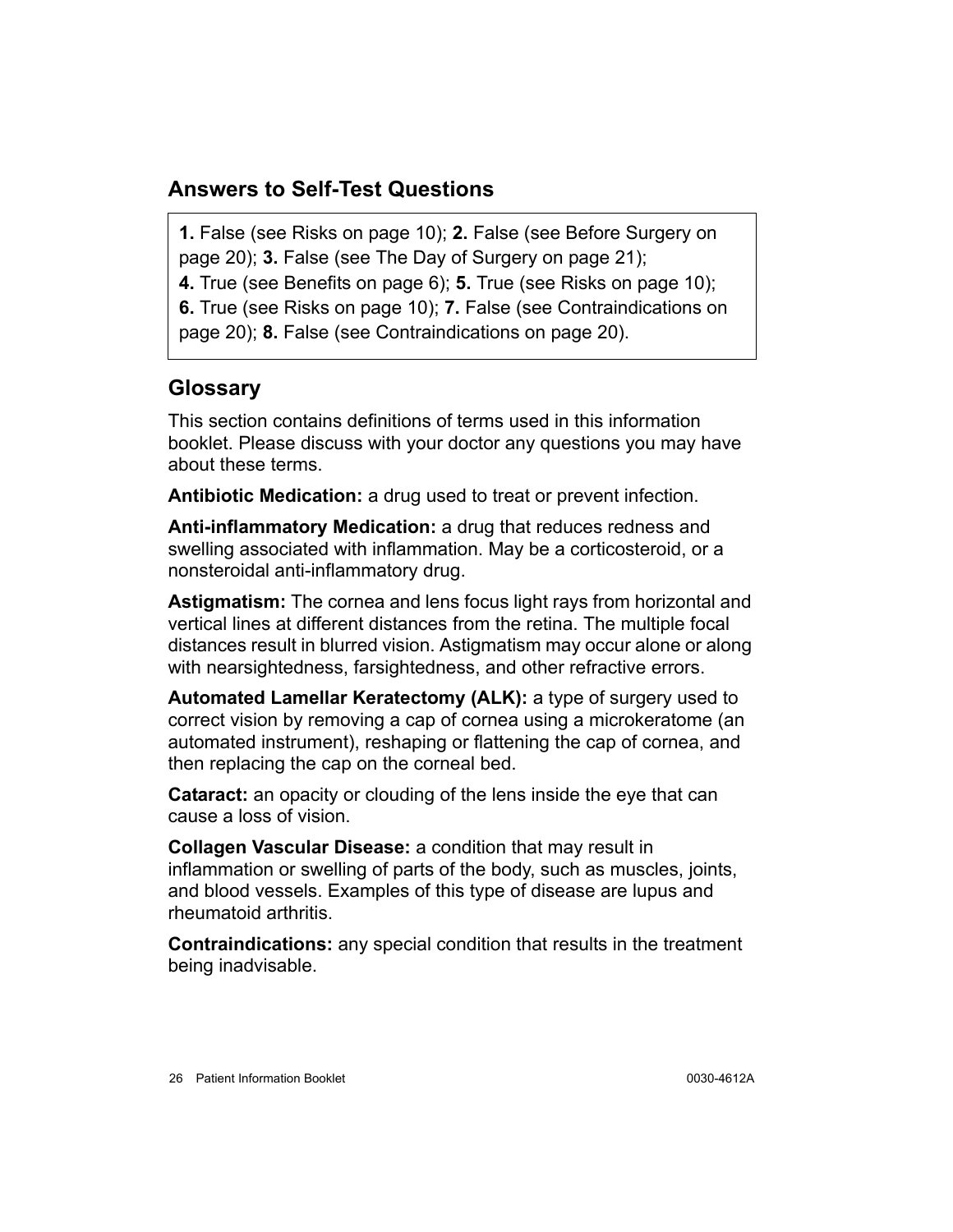#### <span id="page-29-0"></span>**Answers to Self-Test Questions**

**1.** False (see Risks on [page 10](#page-13-1)); **2.** False (see Before Surgery on [page 20](#page-23-1)); **3.** False (see The Day of Surgery on [page 21\)](#page-24-0); **4.** True (see Benefits on [page 6](#page-9-0)); **5.** True (see Risks on [page 10\)](#page-13-1); **6.** True (see Risks on [page 10\)](#page-13-1); **7.** False (see Contraindications on

[page 20](#page-23-0)); **8.** False (see Contraindications on [page 20](#page-23-0)).

## <span id="page-29-1"></span>**Glossary**

This section contains definitions of terms used in this information booklet. Please discuss with your doctor any questions you may have about these terms.

**Antibiotic Medication:** a drug used to treat or prevent infection.

**Anti-inflammatory Medication:** a drug that reduces redness and swelling associated with inflammation. May be a corticosteroid, or a nonsteroidal anti-inflammatory drug.

**Astigmatism:** The cornea and lens focus light rays from horizontal and vertical lines at different distances from the retina. The multiple focal distances result in blurred vision. Astigmatism may occur alone or along with nearsightedness, farsightedness, and other refractive errors.

**Automated Lamellar Keratectomy (ALK):** a type of surgery used to correct vision by removing a cap of cornea using a microkeratome (an automated instrument), reshaping or flattening the cap of cornea, and then replacing the cap on the corneal bed.

**Cataract:** an opacity or clouding of the lens inside the eye that can cause a loss of vision.

**Collagen Vascular Disease:** a condition that may result in inflammation or swelling of parts of the body, such as muscles, joints, and blood vessels. Examples of this type of disease are lupus and rheumatoid arthritis.

**Contraindications:** any special condition that results in the treatment being inadvisable.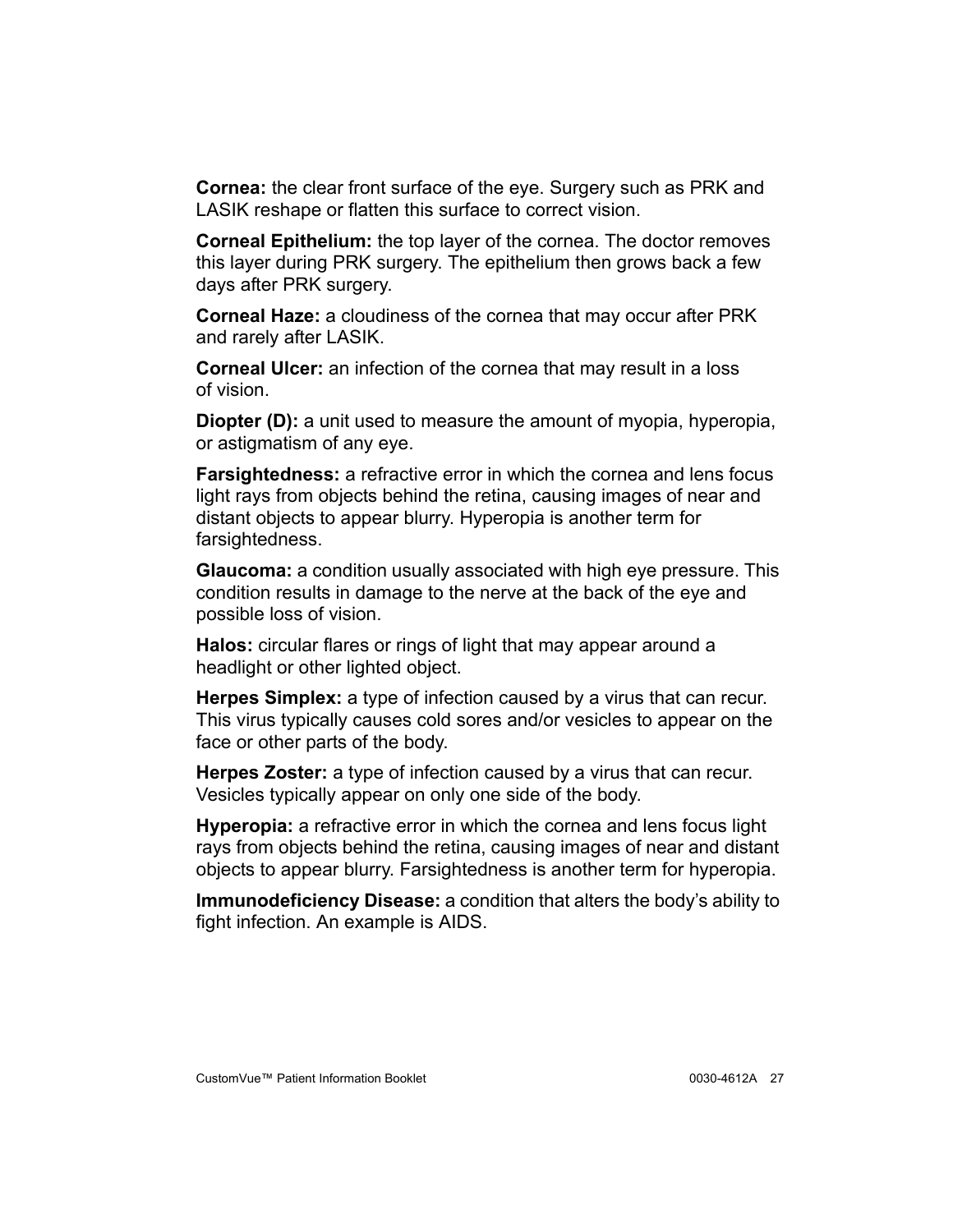**Cornea:** the clear front surface of the eye. Surgery such as PRK and LASIK reshape or flatten this surface to correct vision.

**Corneal Epithelium:** the top layer of the cornea. The doctor removes this layer during PRK surgery. The epithelium then grows back a few days after PRK surgery.

**Corneal Haze:** a cloudiness of the cornea that may occur after PRK and rarely after LASIK.

**Corneal Ulcer:** an infection of the cornea that may result in a loss of vision.

**Diopter (D):** a unit used to measure the amount of myopia, hyperopia, or astigmatism of any eye.

**Farsightedness:** a refractive error in which the cornea and lens focus light rays from objects behind the retina, causing images of near and distant objects to appear blurry. Hyperopia is another term for farsightedness.

**Glaucoma:** a condition usually associated with high eye pressure. This condition results in damage to the nerve at the back of the eye and possible loss of vision.

**Halos:** circular flares or rings of light that may appear around a headlight or other lighted object.

**Herpes Simplex:** a type of infection caused by a virus that can recur. This virus typically causes cold sores and/or vesicles to appear on the face or other parts of the body.

**Herpes Zoster:** a type of infection caused by a virus that can recur. Vesicles typically appear on only one side of the body.

**Hyperopia:** a refractive error in which the cornea and lens focus light rays from objects behind the retina, causing images of near and distant objects to appear blurry. Farsightedness is another term for hyperopia.

**Immunodeficiency Disease:** a condition that alters the body's ability to fight infection. An example is AIDS.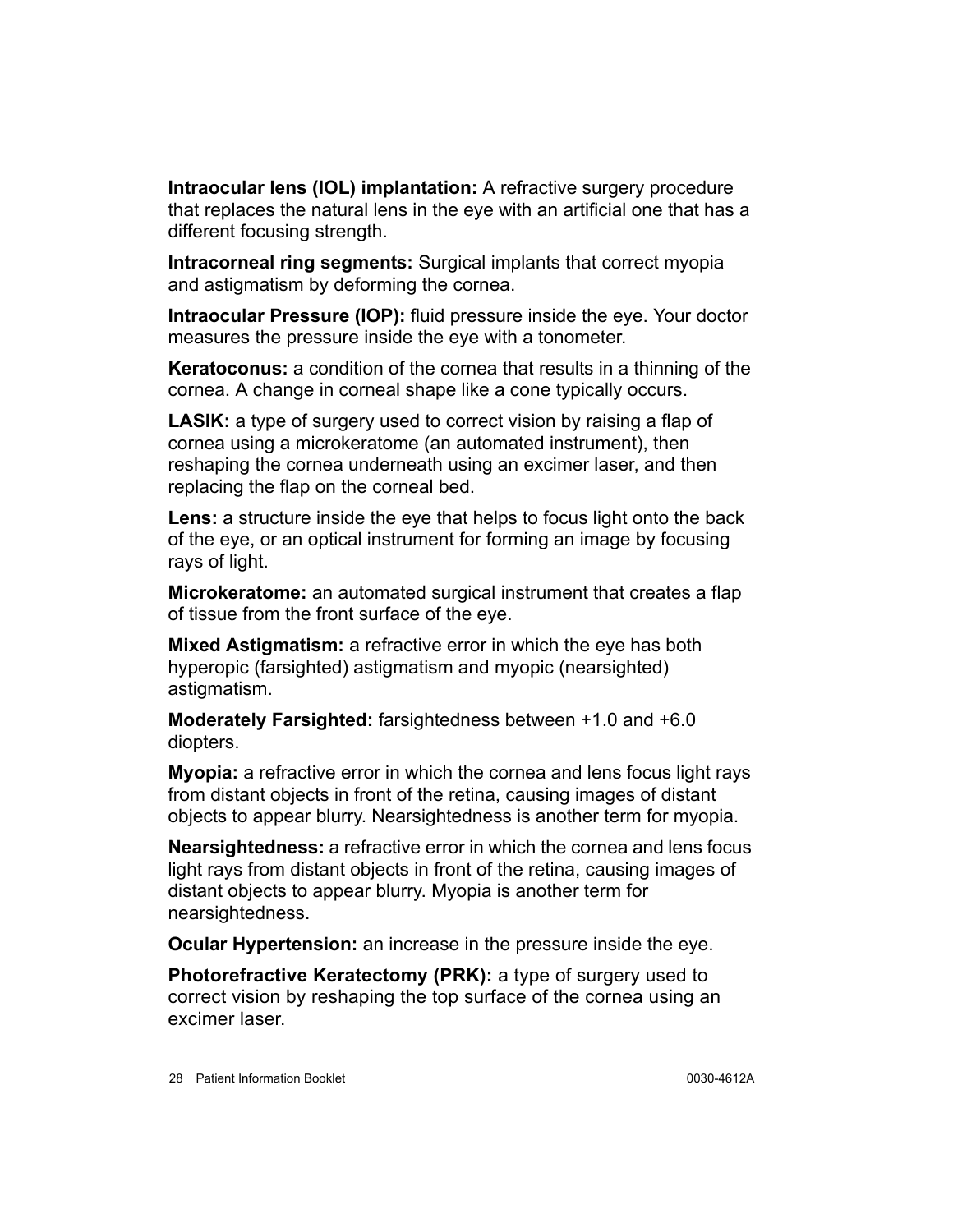**Intraocular lens (IOL) implantation:** A refractive surgery procedure that replaces the natural lens in the eye with an artificial one that has a different focusing strength.

**Intracorneal ring segments:** Surgical implants that correct myopia and astigmatism by deforming the cornea.

**Intraocular Pressure (IOP):** fluid pressure inside the eye. Your doctor measures the pressure inside the eye with a tonometer.

**Keratoconus:** a condition of the cornea that results in a thinning of the cornea. A change in corneal shape like a cone typically occurs.

**LASIK:** a type of surgery used to correct vision by raising a flap of cornea using a microkeratome (an automated instrument), then reshaping the cornea underneath using an excimer laser, and then replacing the flap on the corneal bed.

**Lens:** a structure inside the eye that helps to focus light onto the back of the eye, or an optical instrument for forming an image by focusing rays of light.

**Microkeratome:** an automated surgical instrument that creates a flap of tissue from the front surface of the eye.

**Mixed Astigmatism:** a refractive error in which the eye has both hyperopic (farsighted) astigmatism and myopic (nearsighted) astigmatism.

**Moderately Farsighted:** farsightedness between +1.0 and +6.0 diopters.

**Myopia:** a refractive error in which the cornea and lens focus light rays from distant objects in front of the retina, causing images of distant objects to appear blurry. Nearsightedness is another term for myopia.

**Nearsightedness:** a refractive error in which the cornea and lens focus light rays from distant objects in front of the retina, causing images of distant objects to appear blurry. Myopia is another term for nearsightedness.

**Ocular Hypertension:** an increase in the pressure inside the eye.

**Photorefractive Keratectomy (PRK):** a type of surgery used to correct vision by reshaping the top surface of the cornea using an excimer laser.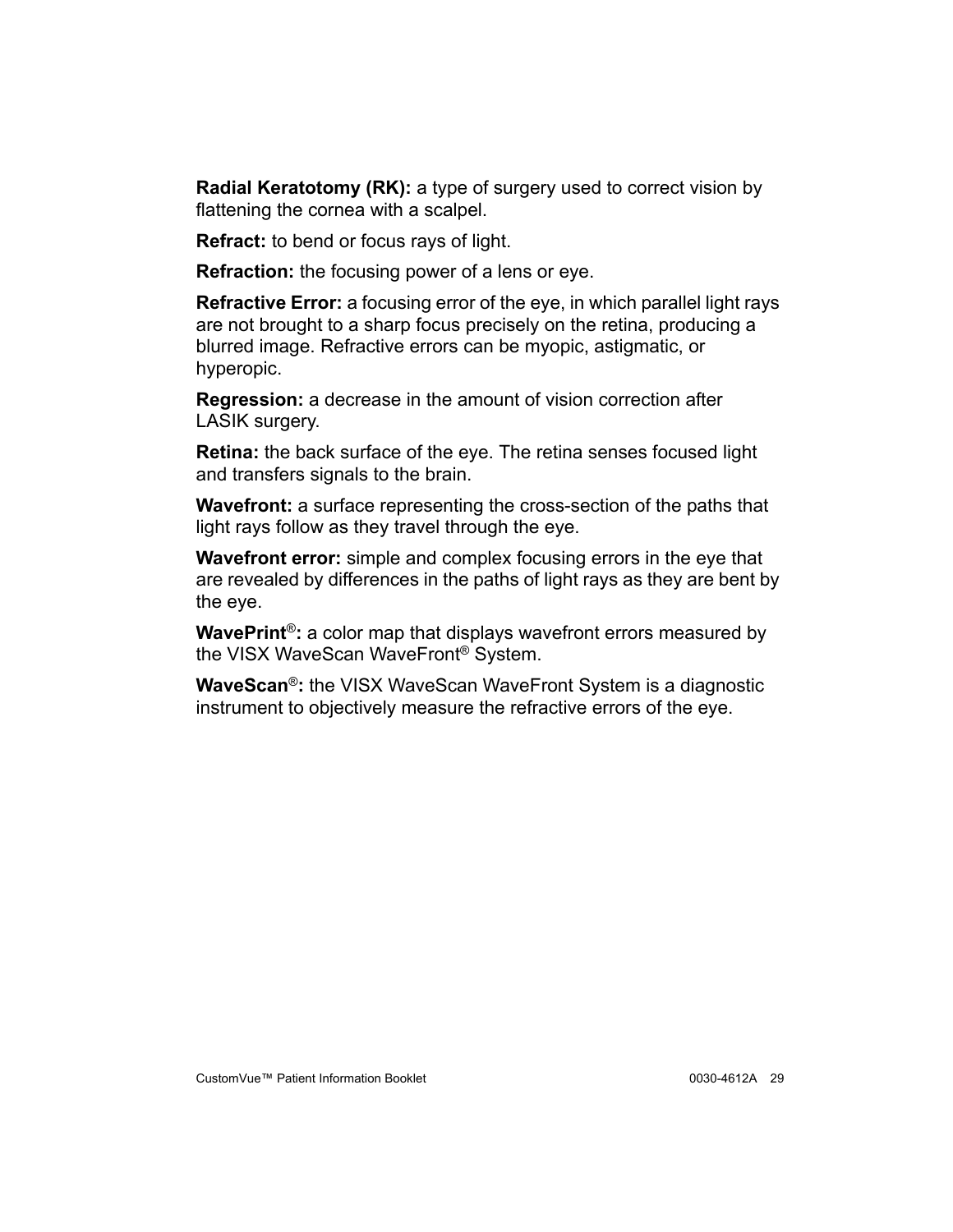**Radial Keratotomy (RK):** a type of surgery used to correct vision by flattening the cornea with a scalpel.

**Refract:** to bend or focus rays of light.

**Refraction:** the focusing power of a lens or eye.

**Refractive Error:** a focusing error of the eye, in which parallel light rays are not brought to a sharp focus precisely on the retina, producing a blurred image. Refractive errors can be myopic, astigmatic, or hyperopic.

**Regression:** a decrease in the amount of vision correction after LASIK surgery.

**Retina:** the back surface of the eye. The retina senses focused light and transfers signals to the brain.

**Wavefront:** a surface representing the cross-section of the paths that light rays follow as they travel through the eye.

**Wavefront error:** simple and complex focusing errors in the eye that are revealed by differences in the paths of light rays as they are bent by the eye.

**WavePrint**®**:** a color map that displays wavefront errors measured by the VISX WaveScan WaveFront® System.

**WaveScan**®**:** the VISX WaveScan WaveFront System is a diagnostic instrument to objectively measure the refractive errors of the eye.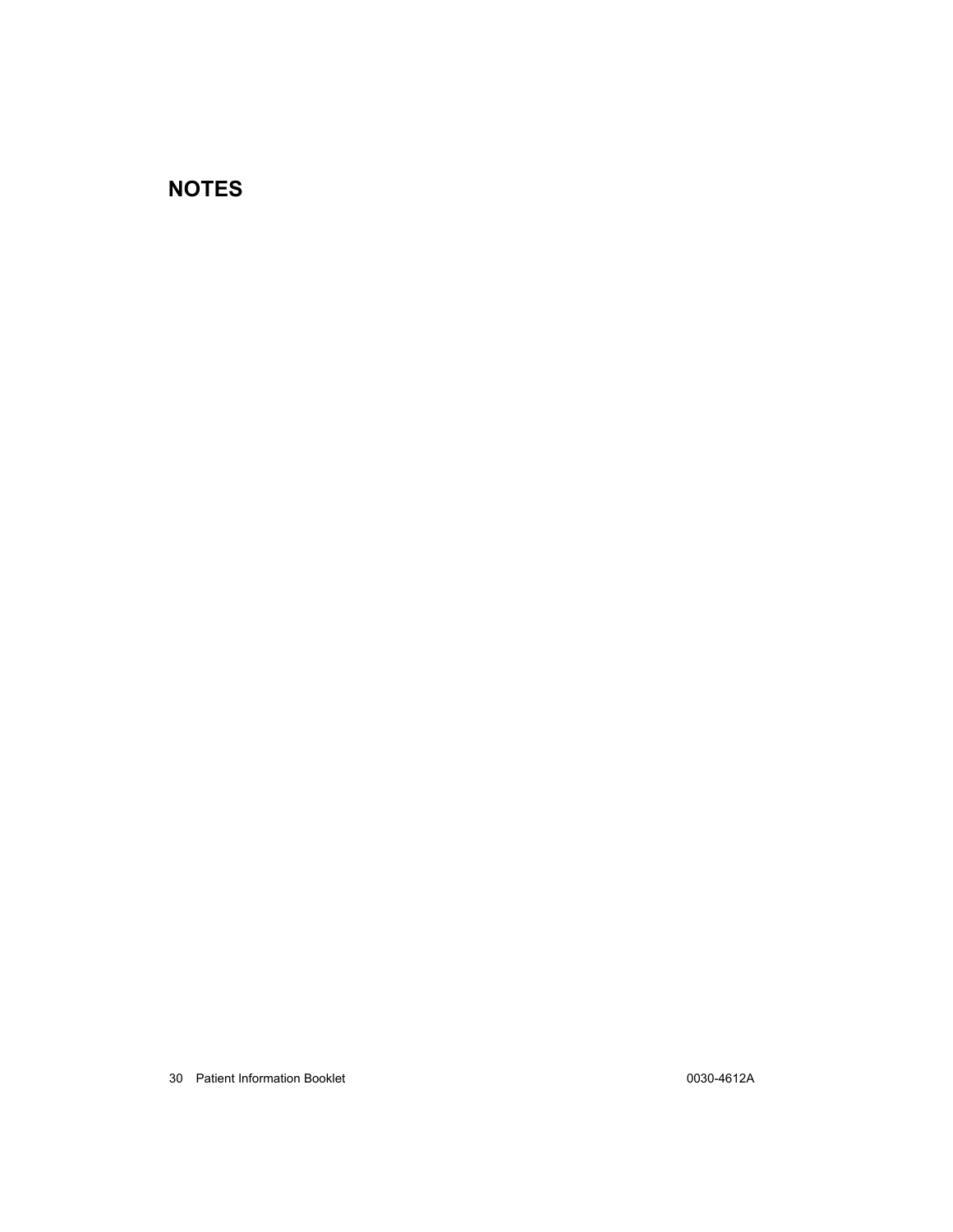## **NOTES**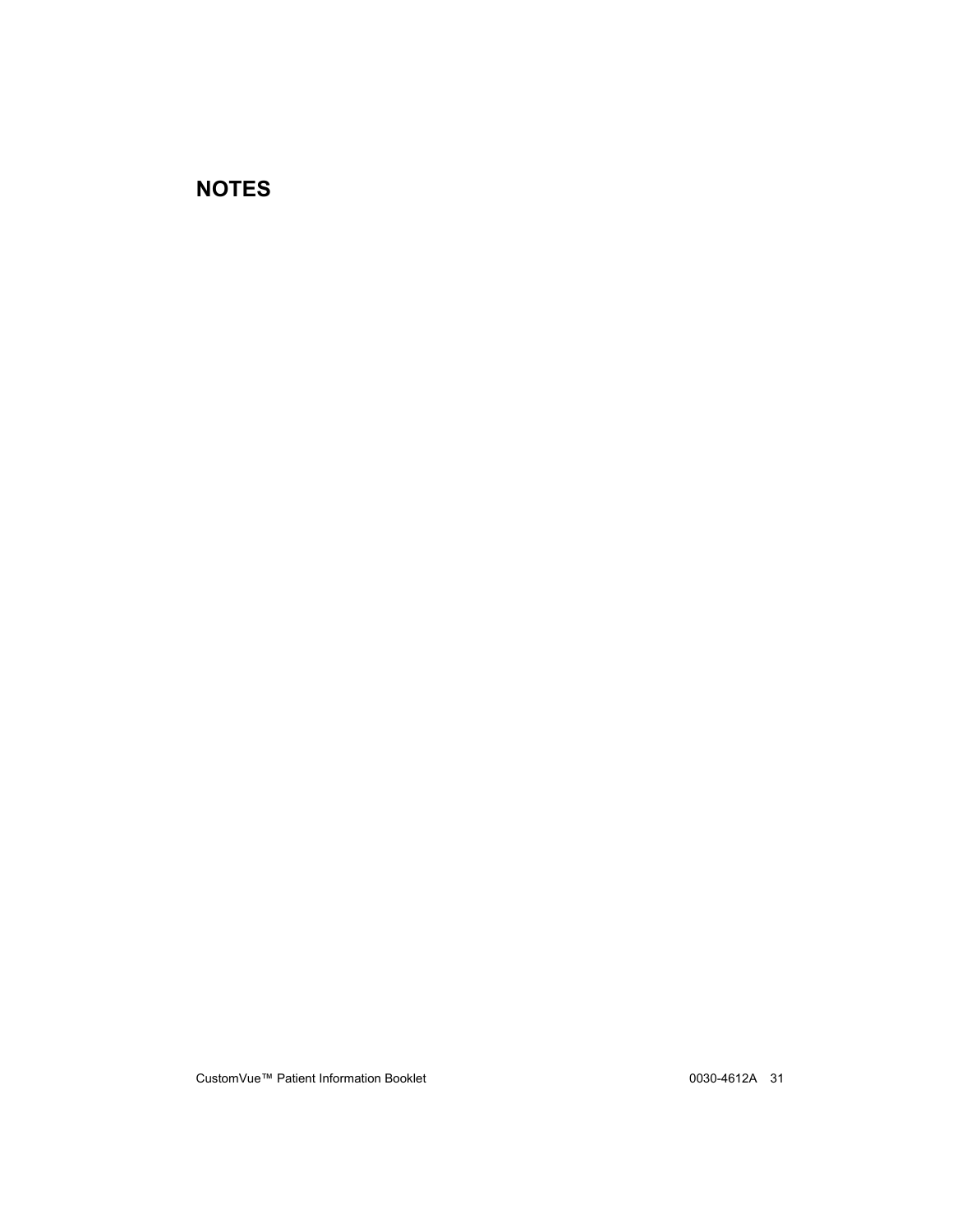### **NOTES**